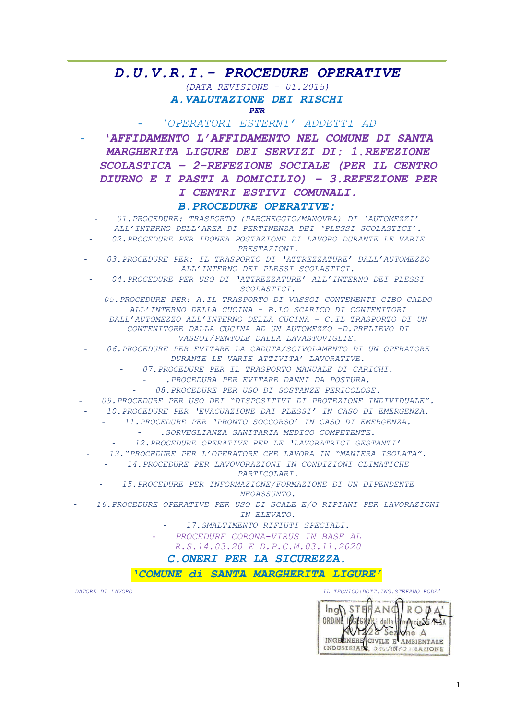# *D.U.V.R.I.- PROCEDURE OPERATIVE*

## *(DATA REVISIONE – 01.2015) A.VALUTAZIONE DEI RISCHI PER*

- *'OPERATORI ESTERNI' ADDETTI AD*

- *'AFFIDAMENTO L'AFFIDAMENTO NEL COMUNE DI SANTA MARGHERITA LIGURE DEI SERVIZI DI: 1.REFEZIONE SCOLASTICA – 2-REFEZIONE SOCIALE (PER IL CENTRO DIURNO E I PASTI A DOMICILIO) – 3.REFEZIONE PER I CENTRI ESTIVI COMUNALI.*

### *B.PROCEDURE OPERATIVE:*

- *01.PROCEDURE: TRASPORTO (PARCHEGGIO/MANOVRA) DI 'AUTOMEZZI' ALL'INTERNO DELL'AREA DI PERTINENZA DEI 'PLESSI SCOLASTICI'.* - *02.PROCEDURE PER IDONEA POSTAZIONE DI LAVORO DURANTE LE VARIE* 

*PRESTAZIONI.*

- *03.PROCEDURE PER: IL TRASPORTO DI 'ATTREZZATURE' DALL'AUTOMEZZO ALL'INTERNO DEI PLESSI SCOLASTICI.*

- *04.PROCEDURE PER USO DI 'ATTREZZATURE' ALL'INTERNO DEI PLESSI SCOLASTICI.*

- *05.PROCEDURE PER: A.IL TRASPORTO DI VASSOI CONTENENTI CIBO CALDO ALL'INTERNO DELLA CUCINA - B.LO SCARICO DI CONTENITORI DALL'AUTOMEZZO ALL'INTERNO DELLA CUCINA - C.IL TRASPORTO DI UN CONTENITORE DALLA CUCINA AD UN AUTOMEZZO -D.PRELIEVO DI VASSOI/PENTOLE DALLA LAVASTOVIGLIE.*

- *06.PROCEDURE PER EVITARE LA CADUTA/SCIVOLAMENTO DI UN OPERATORE DURANTE LE VARIE ATTIVITA' LAVORATIVE.*

- *07.PROCEDURE PER IL TRASPORTO MANUALE DI CARICHI.*

- *.PROCEDURA PER EVITARE DANNI DA POSTURA.*

- *08.PROCEDURE PER USO DI SOSTANZE PERICOLOSE.*

- *09.PROCEDURE PER USO DEI "DISPOSITIVI DI PROTEZIONE INDIVIDUALE".*

- *10.PROCEDURE PER 'EVACUAZIONE DAI PLESSI' IN CASO DI EMERGENZA.*

- *11.PROCEDURE PER 'PRONTO SOCCORSO' IN CASO DI EMERGENZA.*

- *.SORVEGLIANZA SANITARIA MEDICO COMPETENTE.*

- *12.PROCEDURE OPERATIVE PER LE 'LAVORATRICI GESTANTI'*

- *13."PROCEDURE PER L'OPERATORE CHE LAVORA IN "MANIERA ISOLATA".* - *14.PROCEDURE PER LAVOVORAZIONI IN CONDIZIONI CLIMATICHE* 

*PARTICOLARI.*

- *15.PROCEDURE PER INFORMAZIONE/FORMAZIONE DI UN DIPENDENTE NEOASSUNTO.*

- *16.PROCEDURE OPERATIVE PER USO DI SCALE E/O RIPIANI PER LAVORAZIONI IN ELEVATO.*

- *17.SMALTIMENTO RIFIUTI SPECIALI.*

- *PROCEDURE CORONA-VIRUS IN BASE AL* 

*R.S.14.03.20 E D.P.C.M.03.11.2020*

## *C.ONERI PER LA SICUREZZA.*

*'COMUNE di SANTA MARGHERITA LIGURE'*

*DATORE DI LAVORO IL TECNICO:DOTT.ING.STEFANO RODA'*

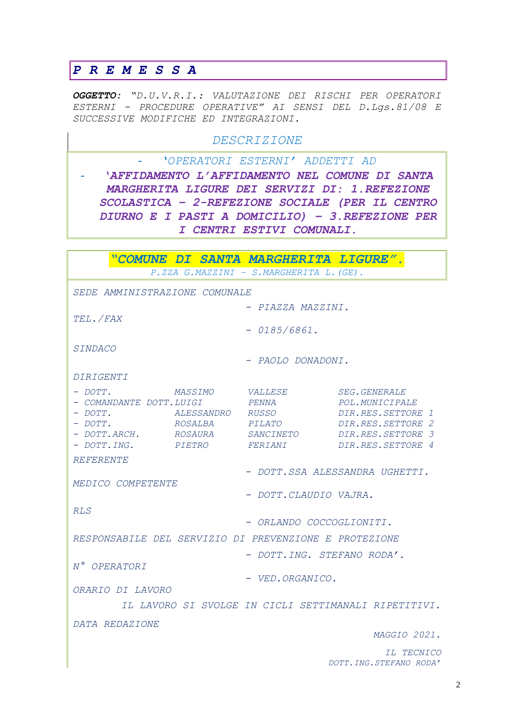# PREMESSA

OGGETTO: "D.U.V.R.I.: VALUTAZIONE DEI RISCHI PER OPERATORI ESTERNI - PROCEDURE OPERATIVE" AI SENSI DEL D.LGS.81/08 E SUCCESSIVE MODIFICHE ED INTEGRAZIONI.

# DESCRIZIONE

'OPERATORI ESTERNI' ADDETTI AD  $\Delta \sim 10$ 

'AFFIDAMENTO L'AFFIDAMENTO NEL COMUNE DI SANTA MARGHERITA LIGURE DEI SERVIZI DI: 1.REFEZIONE SCOLASTICA - 2-REFEZIONE SOCIALE (PER IL CENTRO DIURNO E I PASTI A DOMICILIO) - 3. REFEZIONE PER I CENTRI ESTIVI COMUNALI.

|                                                       |                         | "COMUNE DI SANTA MARGHERITA LIGURE".    |                                                                                        |  |
|-------------------------------------------------------|-------------------------|-----------------------------------------|----------------------------------------------------------------------------------------|--|
|                                                       |                         | P.ZZA G.MAZZINI - S.MARGHERITA L. (GE). |                                                                                        |  |
| SEDE AMMINISTRAZIONE COMUNALE                         |                         |                                         |                                                                                        |  |
|                                                       |                         | - PIAZZA MAZZINI.                       |                                                                                        |  |
| TEL. / FAX                                            |                         |                                         |                                                                                        |  |
|                                                       |                         | $-0185/6861$ .                          |                                                                                        |  |
| <i>SINDACO</i>                                        |                         |                                         |                                                                                        |  |
|                                                       |                         | PAOLO DONADONI.                         |                                                                                        |  |
| DIRIGENTI                                             |                         |                                         |                                                                                        |  |
| $-$ DOTT.                                             | <i>MASSIMO</i>          | <i>VALLESE</i>                          | <b>SEG. GENERALE</b>                                                                   |  |
| - COMANDANTE DOTT.LUIGI                               |                         | PENNA                                   | POL.MUNICIPALE                                                                         |  |
| $-$ DOTT.                                             | <i>ALESSANDRO RUSSO</i> |                                         | DIR.RES.SETTORE 1                                                                      |  |
| $-$ DOTT.                                             |                         | ROSALBA PILATO                          | DIR.RES.SETTORE 2<br>- DOTT.ARCH.      ROSAURA      SANCINETO        DIR.RES.SETTORE 3 |  |
|                                                       |                         |                                         | - DOTT.ING. PIETRO FERIANI DIR.RES.SETTORE 4                                           |  |
| <b>REFERENTE</b>                                      |                         |                                         |                                                                                        |  |
|                                                       |                         |                                         | - DOTT.SSA ALESSANDRA UGHETTI.                                                         |  |
| MEDICO COMPETENTE                                     |                         |                                         |                                                                                        |  |
|                                                       |                         | - DOTT.CLAUDIO VAJRA.                   |                                                                                        |  |
| RLS                                                   |                         |                                         |                                                                                        |  |
|                                                       |                         | - ORLANDO COCCOGLIONITI.                |                                                                                        |  |
| RESPONSABILE DEL SERVIZIO DI PREVENZIONE E PROTEZIONE |                         |                                         |                                                                                        |  |
|                                                       |                         | - DOTT. ING. STEFANO RODA'.             |                                                                                        |  |
| N° OPERATORI                                          |                         |                                         |                                                                                        |  |
|                                                       |                         | - VED.ORGANICO.                         |                                                                                        |  |
| ORARIO DI LAVORO                                      |                         |                                         |                                                                                        |  |
|                                                       |                         |                                         | IL LAVORO SI SVOLGE IN CICLI SETTIMANALI RIPETITIVI.                                   |  |
| DATA REDAZIONE                                        |                         |                                         |                                                                                        |  |
|                                                       |                         |                                         | MAGGIO 2021.                                                                           |  |
| IL TECNICO                                            |                         |                                         |                                                                                        |  |
|                                                       |                         |                                         | DOTT. ING. STEFANO RODA'                                                               |  |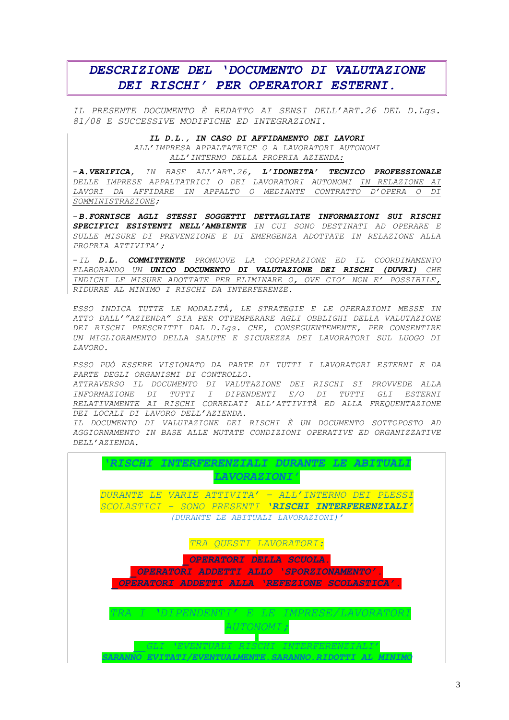# DESCRIZIONE DEL 'DOCUMENTO DI VALUTAZIONE DEI RISCHI' PER OPERATORI ESTERNI.

IL PRESENTE DOCUMENTO È REDATTO AI SENSI DELL'ART.26 DEL D.Las. 81/08 E SUCCESSIVE MODIFICHE ED INTEGRAZIONI.

> IL D.L., IN CASO DI AFFIDAMENTO DEI LAVORI ALL'IMPRESA APPALTATRICE O A LAVORATORI AUTONOMI ALL'INTERNO DELLA PROPRIA AZIENDA:

-A. VERIFICA, IN BASE ALL'ART. 26, L'IDONEITA' TECNICO PROFESSIONALE DELLE IMPRESE APPALTATRICI O DEI LAVORATORI AUTONOMI IN RELAZIONE AI LAVORI DA AFFIDARE IN APPALTO O MEDIANTE CONTRATTO D'OPERA O DI SOMMINISTRAZIONE;

-B. FORNISCE AGLI STESSI SOGGETTI DETTAGLIATE INFORMAZIONI SUI RISCHI SPECIFICI ESISTENTI NELL'AMBIENTE IN CUI SONO DESTINATI AD OPERARE E SULLE MISURE DI PREVENZIONE E DI EMERGENZA ADOTTATE IN RELAZIONE ALLA PROPRIA ATTIVITA';

-IL D.L. COMMITTENTE PROMUOVE LA COOPERAZIONE ED IL COORDINAMENTO ELABORANDO UN UNICO DOCUMENTO DI VALUTAZIONE DEI RISCHI (DUVRI) CHE INDICHI LE MISURE ADOTTATE PER ELIMINARE O, OVE CIO' NON E' POSSIBILE, RIDURRE AL MINIMO I RISCHI DA INTERFERENZE.

ESSO INDICA TUTTE LE MODALITÀ, LE STRATEGIE E LE OPERAZIONI MESSE IN ATTO DALL'"AZIENDA" SIA PER OTTEMPERARE AGLI OBBLIGHI DELLA VALUTAZIONE DEI RISCHI PRESCRITTI DAL D.LGS. CHE, CONSEGUENTEMENTE, PER CONSENTIRE UN MIGLIORAMENTO DELLA SALUTE E SICUREZZA DEI LAVORATORI SUL LUOGO DI LAVORO.

ESSO PUÒ ESSERE VISIONATO DA PARTE DI TUTTI I LAVORATORI ESTERNI E DA PARTE DEGLI ORGANISMI DI CONTROLLO.

ATTRAVERSO IL DOCUMENTO DI VALUTAZIONE DEI RISCHI SI PROVVEDE ALLA INFORMAZIONE DI TUTTI I DIPENDENTI E/O DI TUTTI GLI ESTERNI RELATIVAMENTE AI RISCHI CORRELATI ALL'ATTIVITÀ ED ALLA FREQUENTAZIONE DEI LOCALI DI LAVORO DELL'AZIENDA.

IL DOCUMENTO DI VALUTAZIONE DEI RISCHI È UN DOCUMENTO SOTTOPOSTO AD AGGIORNAMENTO IN BASE ALLE MUTATE CONDIZIONI OPERATIVE ED ORGANIZZATIVE DELL'AZIENDA.

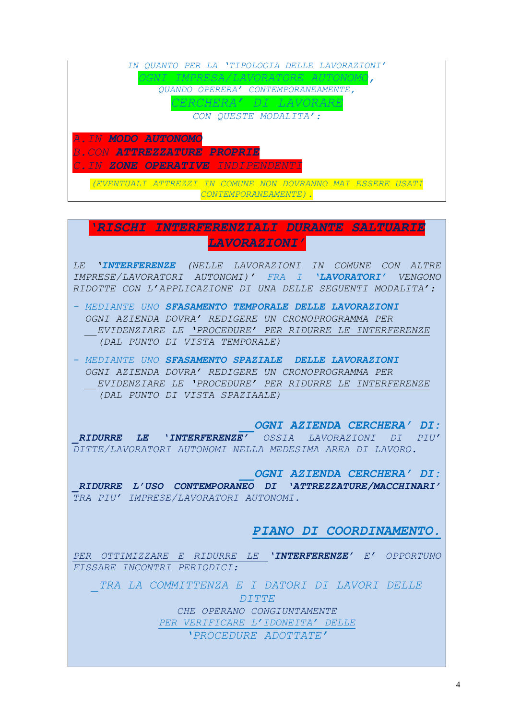|                    | IN OUANTO PER LA 'TIPOLOGIA DELLE LAVORAZIONI'                                    |
|--------------------|-----------------------------------------------------------------------------------|
|                    | <i>)GNI IMPRESA/LAVORATORE AUTONOM</i>                                            |
|                    | QUANDO OPERERA' CONTEMPORANEAMENTE,                                               |
|                    | <i>CERCHERA' DI LAVORARE</i>                                                      |
|                    | CON QUESTE MODALITA':                                                             |
| A.IN MODO AUTONOMO | <b>B.CON ATTREZZATURE PROPRIE</b><br><i>C.IN ZONE OPERATIVE INDIPENDENTI</i>      |
|                    | EVENTUALI ATTREZZI IN COMUNE NON DOVRANNO MAI ESSERE USATI<br>CONTEMPORANEAMENTE) |

*'RISCHI INTERFERENZIALI DURANTE SALTUARIE LAVORAZIONI'*

*LE 'INTERFERENZE (NELLE LAVORAZIONI IN COMUNE CON ALTRE IMPRESE/LAVORATORI AUTONOMI)' FRA I 'LAVORATORI' VENGONO RIDOTTE CON L'APPLICAZIONE DI UNA DELLE SEGUENTI MODALITA':*

- *- MEDIANTE UNO SFASAMENTO TEMPORALE DELLE LAVORAZIONI OGNI AZIENDA DOVRA' REDIGERE UN CRONOPROGRAMMA PER \_\_EVIDENZIARE LE 'PROCEDURE' PER RIDURRE LE INTERFERENZE (DAL PUNTO DI VISTA TEMPORALE)*
- *- MEDIANTE UNO SFASAMENTO SPAZIALE DELLE LAVORAZIONI OGNI AZIENDA DOVRA' REDIGERE UN CRONOPROGRAMMA PER \_\_EVIDENZIARE LE 'PROCEDURE' PER RIDURRE LE INTERFERENZE (DAL PUNTO DI VISTA SPAZIAALE)*

*\_\_OGNI AZIENDA CERCHERA' DI: \_RIDURRE LE 'INTERFERENZE' OSSIA LAVORAZIONI DI PIU' DITTE/LAVORATORI AUTONOMI NELLA MEDESIMA AREA DI LAVORO.*

*\_\_OGNI AZIENDA CERCHERA' DI: \_RIDURRE L'USO CONTEMPORANEO DI 'ATTREZZATURE/MACCHINARI' TRA PIU' IMPRESE/LAVORATORI AUTONOMI.* 

*PIANO DI COORDINAMENTO.*

*PER OTTIMIZZARE E RIDURRE LE 'INTERFERENZE' E' OPPORTUNO FISSARE INCONTRI PERIODICI:*

*\_TRA LA COMMITTENZA E I DATORI DI LAVORI DELLE DITTE* 

> *CHE OPERANO CONGIUNTAMENTE PER VERIFICARE L'IDONEITA' DELLE 'PROCEDURE ADOTTATE'*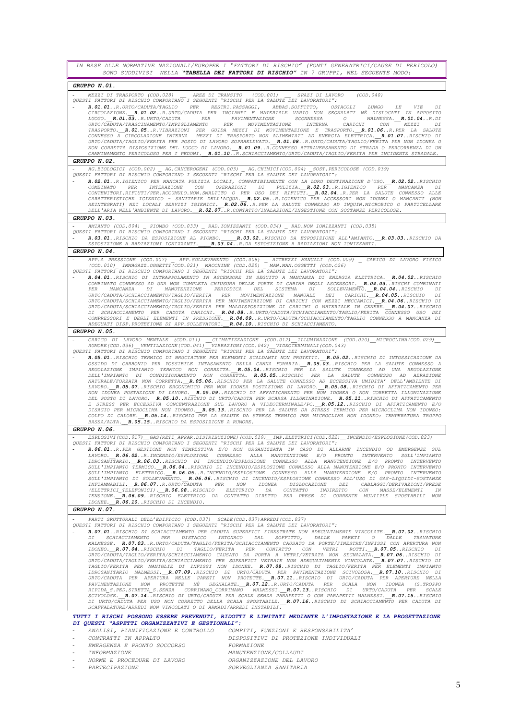| IN BASE ALLE NORMATIVE NAZIONALI/EUROPEE I "FATTORI DI RISCHIO" (FONTI GENERATRICI/CAUSE DI PERICOLO)<br>SONO SUDDIVISI NELLA "TABELLA DEI FATTORI DI RISCHIO" IN 7 GRUPPI, NEL SEGUENTE MODO:                                                                                                                                                                                                                                                                                                                                                                                                                                                                                                                                                                                                                                                                                                                                                                                                                                                                                                                                                                                                                                                                                                                                                                                                                                                                                                                                                                                                                                                                  |           |
|-----------------------------------------------------------------------------------------------------------------------------------------------------------------------------------------------------------------------------------------------------------------------------------------------------------------------------------------------------------------------------------------------------------------------------------------------------------------------------------------------------------------------------------------------------------------------------------------------------------------------------------------------------------------------------------------------------------------------------------------------------------------------------------------------------------------------------------------------------------------------------------------------------------------------------------------------------------------------------------------------------------------------------------------------------------------------------------------------------------------------------------------------------------------------------------------------------------------------------------------------------------------------------------------------------------------------------------------------------------------------------------------------------------------------------------------------------------------------------------------------------------------------------------------------------------------------------------------------------------------------------------------------------------------|-----------|
| GRUPPO N.01.                                                                                                                                                                                                                                                                                                                                                                                                                                                                                                                                                                                                                                                                                                                                                                                                                                                                                                                                                                                                                                                                                                                                                                                                                                                                                                                                                                                                                                                                                                                                                                                                                                                    |           |
| MEZZI DI TRASPORTO (COD.028) AREE DI TRANSITO (COD.001) SPAZI DI LAVORO (COD.040)<br>QUESTI FATTORI DI RISCHIO COMPORTANO I SEGUENTI "RISCHI PER LA SALUTE DEI LAVORATORI":<br>R.01.01.R.URTO/CADUTA/TAGLIO PER RESTRI.PASSAGGI, ABBAS.SOFFITTO, OSTACOLI LUNGO LE VIE<br>CIRCOLAZIONE. R.01.02R.URTO/CADUTA PER INCIAMPI E MATERIALE VARIO NON SEGNALATI NÈ DISLOCATI IN APPOSITO<br>LUOGO. R.01.03R.URTO/CADUTA PER PAVIMENTAZIONE SCONNESSA O MALMESSA. R.01.04R.DI                                                                                                                                                                                                                                                                                                                                                                                                                                                                                                                                                                                                                                                                                                                                                                                                                                                                                                                                                                                                                                                                                                                                                                                          | DI        |
| URTO/CADUTA/TRASCINAMENTO/IMPIGLIAMENTO PER MOVIMENTAZIONE INTERNA CARICHI CON MEZZI DI<br>TRASPORTO. R.01.05R.VIBRAZIONI PER GUIDA MEZZI DI MOVIMENTAZIONE E TRASPORTO. R.01.06R.PER LA SALUTE<br>CONNESSO A CIRCOLAZIONE INTERNA MEZZI DI TRASPORTO NON ALIMENTATI AD ENERGIA ELETTRICA. R.O1.07RISCHIO DI<br>URTO/CADUTA/TAGLIO/FERITA PER POSTO DI LAVORO SOPRAELEVATO. R.O1.08R.URTO/CADUTA/TAGLIO/FERITA PER NON IDONEA O<br>NON CORRETTA DISPOSIZIONE DEL LUOGO DI LAVORO. R.O1.09R.CONNESSO ATTRAVERSAMENTO DI STRADA O PERCORRENZA DI UN<br>CAMMINAMENTO PERICOLOSO PER I PEDONI. R.O1.10R.SCHIACCIAMENTO/URTO/CADUTA/TAGLIO/FERITA PER INCIDENTE STRADALE.                                                                                                                                                                                                                                                                                                                                                                                                                                                                                                                                                                                                                                                                                                                                                                                                                                                                                                                                                                                            |           |
| GRUPPO N.02.                                                                                                                                                                                                                                                                                                                                                                                                                                                                                                                                                                                                                                                                                                                                                                                                                                                                                                                                                                                                                                                                                                                                                                                                                                                                                                                                                                                                                                                                                                                                                                                                                                                    |           |
| AG.BIOLOGICI (COD.002) _ AG.CANCEROGENI (COD.003) _ AG.CHIMICI(COD.004) _SOST.PERICOLOSE (COD.039)<br>QUESTI FATTORI DI RISCHIO COMPORTANO I SEGUENTI "RISCHI PER LA SALUTE DEI LAVORATORI":<br>R.02.01R.IGIENICO PER MANCATA PULIZIA LOCALI, COMPATIBILMENTE CON LA LORO DESTINAZIONE D'USO. R.02.02RISCHIO<br>COMBINATO PER INTERAZIONE CON OPERAZIONI DI PULIZIA. R.02.03R.IGIENICO PER MANCANZA<br>CONTENITORI.RIFIUTI/PER.ACCUMULO.NON.SMALTITO O PER USO DEI RIFIUTI._R.02.04R.PER LA SALUTE CONNESSO ALLE<br>CARATTERISTICHE IGIENICO - SANITARIE DELL'ACQUA. R.O2.O5R.IGIENICO PER ACCESSORI NON IDONEI O MANCANTI (NON<br>REINTEGRATI) NEI LOCALI SERVIZI IGIENICI. R.O2.06R.PER LA SALUTE CONNESSO AD INQUIN.MICROBICO O PARTICELLARE<br>DELL'ARIA NELL'AMBIENTE DI LAVORO. R.O2.07R.CONTATTO/INALAZIONE/INGESTIONE CON SOSTANZE PERICOLOSE.                                                                                                                                                                                                                                                                                                                                                                                                                                                                                                                                                                                                                                                                                                                                                                                                          | DI        |
| GRUPPO N.03.                                                                                                                                                                                                                                                                                                                                                                                                                                                                                                                                                                                                                                                                                                                                                                                                                                                                                                                                                                                                                                                                                                                                                                                                                                                                                                                                                                                                                                                                                                                                                                                                                                                    |           |
| - AMIANTO (COD.004) PIOMBO (COD.033) RAD.IONIZZANTI (COD.034) RAD.NON IONIZZANTI (COD.035)<br>QUESTI FATTORI DI RISCHIO COMPORTANO I SEGUENTI "RISCHI PER LA SALUTE DEI LAVORATORI":<br>R.03.01. RISCHIO DA ESPOSIZIONE AL PIOMBO. R.03.02. RISCHIO DA ESPOSIZIONE ALL'AMIANTO. R.03.03. RISCHIO DA<br>ESPOSIZIONE A RADIAZIONI IONIZZANTI. R.O3.04R.DA ESPOSIZIONE A RADIAZIONI NON IONIZZANTI.                                                                                                                                                                                                                                                                                                                                                                                                                                                                                                                                                                                                                                                                                                                                                                                                                                                                                                                                                                                                                                                                                                                                                                                                                                                                |           |
| GRUPPO N.04.                                                                                                                                                                                                                                                                                                                                                                                                                                                                                                                                                                                                                                                                                                                                                                                                                                                                                                                                                                                                                                                                                                                                                                                                                                                                                                                                                                                                                                                                                                                                                                                                                                                    |           |
| APP.A PRESSIONE (COD.007) _ APP.SOLLEVAMENTO (COD.008) _ ATTREZZI MANUALI (COD.009) _ CARICO DI LAVORO FISICO<br>(COD.010) IMMAGAZZ.OGGETTI(COD.021) MACCHINE (COD.025) MAN.MAN.OGGETTI (COD.026)<br>QUESTI FATTORI DI RISCHIO COMPORTANO I SEGUENTI "RISCHI PER LA SALUTE DEI LAVORATORI":                                                                                                                                                                                                                                                                                                                                                                                                                                                                                                                                                                                                                                                                                                                                                                                                                                                                                                                                                                                                                                                                                                                                                                                                                                                                                                                                                                     |           |
| R.04.01. RISCHIO DI INTRAPPOLAMENTO IN ASCENSORE IN SEGUITO A MANCANZA DI ENERGIA ELETTRICA. R.04.02. RISCHIO<br>COMBINATO CONNESSO AD UNA NON COMPLETA CHIUSURA DELLE PORTE DI CABINA DEGLI ASCENSORI. R.04.03RISCHI COMBINATI<br>MANCANZA DI MANUTENZIONE PERIODICA DEL SISTEMA DI SOLLEVAMENTO. R.04.04RISCHIO<br>PER<br>URTO/CADUTA/SCHIACCIAMENTO/TAGLIO/FERITA PER MOVIMENTAZIONE MANUALE DEI CARICHI. R.04.05RISCHIO                                                                                                                                                                                                                                                                                                                                                                                                                                                                                                                                                                                                                                                                                                                                                                                                                                                                                                                                                                                                                                                                                                                                                                                                                                     | DI<br>DI  |
| URTO/CADUTA/SCHIACCIAMENTO/TAGLIO/FERITA PER MOVIMENTAZIONE DI CARICHI CON MEZZI MECCANICI. R.04.06RISCHIO DI<br>URTO/CADUTA/SCHIACCIAMENTO/TAGLIO/FERITA PER MALDISPOSIZIONE DI CARICHI O MATERIALE IN GENERE. R.04.07RISCHIO<br>DI SCHIACCIAMENTO PER CADUTA CARICHI. R. 04.08R. URTO/CADUTA/SCHIACCIAMENTO/TAGLIO/FERITA CONNESSO USO DEI<br>COMPRESSORI E DEGLI ELEMENTI IN PRESSIONE. R.O4.09R.URTO/CADUTA/SCHIACCIAMENTO/TAGLIO CONNESSO A MANCANZA DI<br>ADEGUATI DISP. PROTEZIONE DI APP. SOLLEVATORI. R. 04.10 RISCHIO DI SCHIACCIAMENTO.                                                                                                                                                                                                                                                                                                                                                                                                                                                                                                                                                                                                                                                                                                                                                                                                                                                                                                                                                                                                                                                                                                              |           |
| GRUPPO N.05.                                                                                                                                                                                                                                                                                                                                                                                                                                                                                                                                                                                                                                                                                                                                                                                                                                                                                                                                                                                                                                                                                                                                                                                                                                                                                                                                                                                                                                                                                                                                                                                                                                                    |           |
| CARICO DI LAVORO MENTALE (COD.011) CLIMATIZZAZIONE (COD.012) ILLUMINAZIONE (COD.020) MICROCLIMA(COD.029)<br>RUMORE (COD.036) VENTILAZIONE (COD.041) VIBRAZIONI (COD.042) VIDEOTERMINALI (COD.043)<br>QUESTI FATTORI DI RISCHIO COMPORTANO I SEGUENTI "RISCHI PER LA SALUTE DEI LAVORATORI":<br>R.05.01. RISCHIO TERMICO DI BRUCIATURE PER ELEMENTI SCALDANTI NON PROTETTI. R.05.02. RISCHIO DI INTOSSICAZIONE DA<br>OSSIDO DI CARBONIO PER POSSIBILE INTASAMENTO DELLA CANNA FUMARIA. R.05.03RISCHIO PER LA SALUTE CONNESSO A<br>REGOLAZIONE IMPIANTO TERMICO NON CORRETTA. R.05.04RISCHIO PER LA SALUTE CONNESSO AD UNA REGOLAZIONE<br>DELL'IMPIANTO DI CONDIZIONAMENTO NON CORRETTA. R.05.05RISCHIO PER LA SALUTE CONNESSO AD AERAZIONE<br>NATURALE/FORZATA NON CORRETTA. R.05.06RISCHIO PER LA SALUTE CONNESSO AD ECCESSIVA UMIDITA' DELL'AMBIENTE DI<br>LAVORO. R.05.07RISCHIO ERGONOMICO PER NON IDONEA POSTAZIONE DI LAVORO. R.05.08RISCHIO DI AFFATICAMENTO PER<br>NON IDONEA POSTAZIONE DI LAVORO. R.05.09RISCHIO DI AFFATICAMENTO PER NON IDONEA O NON CORRETTA ILLUMINAZIONE<br>DEL POSTO DI LAVORO. R.05.10RISCHIO DI URTO/CADUTA PER SCARSA ILLUMINAZIONE. R.05.11RISCHIO DI AFFATICAMENTO<br>E STRESS PER ECCESSIVA CONCENTRAZIONE SUL LAVORO A VIDEOTERMINALE/PC. R.05.12RISCHIO DI AFFATICAMENTO E/O<br>DISAGIO PER MICROCLIMA NON IDONEO. R.05.13RISCHIO PER LA SALUTE DA STRESS TERMICO PER MICROCLIMA NON IDONEO:<br>COLPO DI CALORE. R. 05.14RISCHIO PER LA SALUTE DA STRESS TERMICO PER MICROCLIMA NON IDONEO: TEMPERATURA TROPPO<br>BASSA/ALTA. R.05.15RISCHIO DA ESPOSIZIONE A RUMORE.                                                    |           |
| GRUPPO N.06.                                                                                                                                                                                                                                                                                                                                                                                                                                                                                                                                                                                                                                                                                                                                                                                                                                                                                                                                                                                                                                                                                                                                                                                                                                                                                                                                                                                                                                                                                                                                                                                                                                                    |           |
| ESPLOSIVI (COD.017) GAS (RETI APPAR.DISTRIBUZIONE) (COD.019) IMP.ELETTRICI (COD.022) INCENDIO/ESPLOSIONE (COD.023)<br>QUESTI FATTORI DI RISCHIO COMPORTANO I SEGUENTI "RISCHI PER LA SALUTE DEI LAVORATORI":<br>R.06.01R.PER GESTIONE NON TEMPESTIVA E/O NON ORGANIZZATA IN CASO DI ALLARME INCENDIO OD EMERGENZE SUL<br>LAVORO. R.06.02R.INCENDIO/ESPLOSIONE CONNESSO ALLA MANUTENZIONE E/O PRONTO INTERVENTO SULL'IMPIANTO<br>IDROSANITARIO. R.06.03RISCHIO DI INCENDIO/ESPLOSIONE CONNESSO ALLA MANUTENZIONE E/O PRONTO INTERVENTO<br>SULL'IMPIANTO TERMICO. R.06.04RISCHIO DI INCENDIO/ESPLOSIONE CONNESSO ALLA MANUTENZIONE E/O PRONTO INTERVENTO<br>SULL'IMPIANTO ELETTRICO. R.O6.05R.INCENDIO/ESPLOSIONE CONNESSO ALLA MANUTENZIONE E/O PRONTO INTERVENTO<br>SULL'IMPIANTO DI SOLLEVAMENTO. R. 06.06RISCHIO DI INCENDIO/ESPLOSIONE CONNESSO ALL'USO DI GAS-LIQUIDI-SOSTANZE<br>INFIAMMABILI. R.O6.07R.URTO/CADUTA PER NON IDONEA DISLOCAZIONE DEI CABLAGGI/DERIVAZIONI/PRESE<br>(ELETTRICI TELEFONICI). R.06.08RISCHIO ELETTRICO DA CONTATTO INDIRETTO CON MASSE/ELEMENTI<br>TENSIONE. R.06.09. RISCHIO ELETTRICO DA CONTATTO DIRETTO PER PRESE DI CORRENTE MULTIPLE SPOSTABILI NON<br>IDONEE. R.06.10RISCHIO DI INCENDIO.                                                                                                                                                                                                                                                                                                                                                                                                                               | IN        |
| GRUPPO N.07.                                                                                                                                                                                                                                                                                                                                                                                                                                                                                                                                                                                                                                                                                                                                                                                                                                                                                                                                                                                                                                                                                                                                                                                                                                                                                                                                                                                                                                                                                                                                                                                                                                                    |           |
| PARTI SRUTTURALI DELL'EDIFICIO (COD.037) SCALE (COD.037) ARREDI (COD.037)<br>QUESTI FATTORI DI RISCHIO COMPORTANO I SEGUENTI "RISCHI PER LA SALUTE DEI LAVORATORI":<br>R.07.01. RISCHIO DI SCHIACCIAMENTO PER CADUTA SUPERFICI FINESTRATE NON ADEGUATAMENTE VINCOLATE. R.07.02. RISCHIO<br>SCHIACCIAMENTO PER DISTACCO INTONACO DAL SOFFITTO, DALLE PARETI O DALLE<br>DT.<br>MALMESSE. R.07.03R.URTO/CADUTA/TAGLIO/FERITA/SCHIACCIAMENTO CAUSATO DA PORTE/FINESTRE/INFISSI CON APERTURA NON<br>IDONEO. R.07.04RISCHIO DI TAGLIO/FERITA PER CONTATTO CON VETRI ROTTI. R.07.05RISCHIO DI<br>URTO/CADUTA/TAGLIO/FERITA/SCHIACCIAMENTO CAUSATO DA PORTA A VETRI/VETRATA NON SEGNALATA. R.07.06RISCHIO DI<br>URTO/CADUTA/TAGLIO/FERITA/SCHIACCIAMENTO PER SUPERFICI VETRATE NON ADEGUATAMENTE VINCOLATE. R.07.07RISCHIO DI<br>TAGLIO/FERITA PER MANIGLIE DI INFISSI NON IDONEE. R.07.08RISCHIO DI TAGLIO/FERITA PER ELEMENTI IMPIANTO<br>IDROSANITARIO MALMESSI. R.O7.09. RISCHIO DI URTO/CADUTA PER PAVIMENTAZIONE SCIVOLOSA. R.O7.10. RISCHIO DI<br>URTO/CADUTA PER APERTURA NELLE PARETI NON PROTETTE. R.07.11RISCHIO DI URTO/CADUTA PER APERTURE NELLA<br>PAVIMENTAZIONE NON PROTETTE NÈ SEGNALATE. R.07.12R.URTO/CADUTA PER SCALA NON IDONEA (S.TROPPO<br>RIPIDA S.PED. STRETTA S.SENZA CORRIMANO CORRIMANO MALMESSI. R.O7.13. RISCHIO DI URTO/CADUTA PER SCALE<br>SCIVOLOSE. R.07.14RISCHIO DI URTO/CADUTA PER SCALE SENZA PARAPETTI O CON PARAPETTI MALMESSI. R.07.15RISCHIO<br>DI URTO/CADUTA PER USO NON CORRETTO DELLA SCALA SPOSTABILE. R.07.16RISCHIO DI SCHIACCIAMENTO PER CADUTA DI<br>SCAFFALATURE/ARREDI NON VINCOLATI O DI ARMADI/ARREDI INSTABILI. | TRAVATURE |
| TUTTI I RISCHI POSSONO ESSERE PREVENUTI, RIDOTTI E LIMITATI MEDIANTE L'IMPOSTAZIONE E LA PROGETTAZIONE                                                                                                                                                                                                                                                                                                                                                                                                                                                                                                                                                                                                                                                                                                                                                                                                                                                                                                                                                                                                                                                                                                                                                                                                                                                                                                                                                                                                                                                                                                                                                          |           |
| DI QUESTI "ASPETTI ORGANIZZATIVI E GESTIONALI":<br>ANALISI, PIANIFICAZIONE E CONTROLLO<br>COMPITI, FUNZIONI E RESPONSABILITA'                                                                                                                                                                                                                                                                                                                                                                                                                                                                                                                                                                                                                                                                                                                                                                                                                                                                                                                                                                                                                                                                                                                                                                                                                                                                                                                                                                                                                                                                                                                                   |           |
| CONTRATTI IN APPALTO<br>DISPOSITIVI DI PROTEZIONE INDIVIDUALI<br>EMERGENZA E PRONTO SOCCORSO<br><i>FORMAZIONE</i>                                                                                                                                                                                                                                                                                                                                                                                                                                                                                                                                                                                                                                                                                                                                                                                                                                                                                                                                                                                                                                                                                                                                                                                                                                                                                                                                                                                                                                                                                                                                               |           |

- *INFORMAZIONE MANUTENZIONE/COLLAUDI*  - *NORME E PROCEDURE DI LAVORO ORGANIZZAZIONE DEL LAVORO*  - *PARTECIPAZIONE SORVEGLIANZA SANITARIA*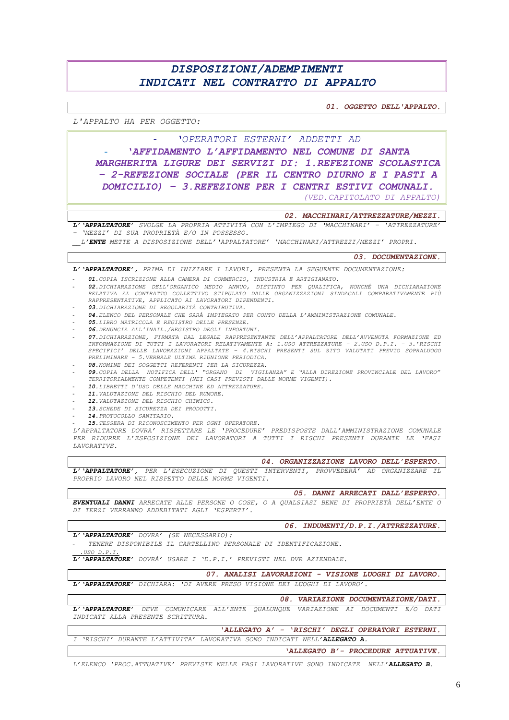# DISPOSIZIONI/ADEMPIMENTI INDICATI NEL CONTRATTO DI APPALTO

01. OGGETTO DELL'APPALTO.

#### L'APPALTO HA PER OGGETTO:

'OPERATORI ESTERNI' ADDETTI AD 'AFFIDAMENTO L'AFFIDAMENTO NEL COMUNE DI SANTA MARGHERITA LIGURE DEI SERVIZI DI: 1.REFEZIONE SCOLASTICA - 2-REFEZIONE SOCIALE (PER IL CENTRO DIURNO E I PASTI A DOMICILIO) - 3. REFEZIONE PER I CENTRI ESTIVI COMUNALI. (VED. CAPITOLATO DI APPALTO)

02. MACCHINARI/ATTREZZATURE/MEZZI.

L'IAPPALTATORE' SVOLGE LA PROPRIA ATTIVITÀ CON L'IMPIEGO DI 'MACCHINARI' - 'ATTREZZATURE · 'MEZZI' DI SUA PROPRIETÀ E/O IN POSSESSO.

L'ENTE METTE A DISPOSIZIONE DELL' 'APPALTATORE' 'MACCHINARI/ATTREZZI/MEZZI' PROPRI.

03. DOCUMENTAZIONE.

L' 'APPALTATORE', PRIMA DI INIZIARE I LAVORI, PRESENTA LA SEGUENTE DOCUMENTAZIONE:

- 01. COPIA ISCRIZIONE ALLA CAMERA DI COMMERCIO, INDUSTRIA E ARTIGIANATO.
- **02.** DICHIARAZIONE DELL'ORGANICO MEDIO ANNUO, DISTINTO PER QUALIFICA, NONCHÉ UNA DICHIARAZIONE<br>RELATIVA AL CONTRATTO COLLETTIVO STIPULATO DALLE ORGANIZZAZIONI SINDACALI COMPARATIVAMENTE PIÙ RAPPRESENTATIVE, APPLICATO AI LAVORATORI DIPENDENTI.
- 03. DICHIARAZIONE DI REGOLARITÀ CONTRIBUTIVA.
- 04. ELENCO DEL PERSONALE CHE SARÀ IMPIEGATO PER CONTO DELLA L'AMMINISTRAZIONE COMUNALE.
- 05.LIBRO MATRICOLA E REGISTRO DELLE PRESENZE.
- 06. DENUNCIA ALL'INAIL /REGISTRO DEGLI INFORTUNI.
- 07. DICHIARAZIONE, FIRMATA DAL LEGALE RAPPRESENTANTE DELL'APPALTATORE DELL'AVVENUTA FORMAZIONE ED<br>INFORMAZIONE DI TUTTI I LAVORATORI RELATIVAMENTE A: 1. USO ATTREZZATURE 2. USO D.P.I. 3. 'RISCHI SPECIFICI' DELLE LAVORAZIONI APPALIATE - 4.RISCHI PRESENTI SUL SITO VALUTATI PREVIO SOPRALUOGO PRELIMINARE - 5. VERBALE ULTIMA RIUNIONE PERIODICA.
- 08. NOMINE DEI SOGGETTI REFERENTI PER LA SICUREZZA.
- 09. COPIA DELLA NOTIFICA DELL' "ORGANO DI VIGILANZA" E "ALLA DIREZIONE PROVINCIALE DEL LAVORO" TERRITORIALMENTE COMPETENTI (NEI CASI PREVISTI DALLE NORME VIGENTI).
- 10. LIBRETTI D'USO DELLE MACCHINE ED ATTREZZATURE.
- 11 VALUTAZIONE DEL RISCHIO DEL RUMORE
- 12. VALUTAZIONE DEL RISCHIO CHIMICO.
- 13. SCHEDE DI SICUREZZA DEI PRODOTTI.
- 14. PROTOCOLLO SANITARIO.
- 15. TESSERA DI RICONOSCIMENTO PER OGNI OPERATORE.

L'APPALTATORE DOVRA' RISPETTARE LE 'PROCEDURE' PREDISPOSTE DALL'AMMINISTRAZIONE COMUNALE PER RIDURRE L'ESPOSIZIONE DEI LAVORATORI A TUTTI I RISCHI PRESENTI DURANTE LE 'FASI LAVORATIVE.

04. ORGANIZZAZIONE LAVORO DELL'ESPERTO.

L'APPALTATORE', PER L'ESECUZIONE DI QUESTI INTERVENTI, PROVVEDERÀ' AD ORGANIZZARE IL PROPRIO LAVORO NEL RISPETTO DELLE NORME VIGENTI.

05. DANNI ARRECATI DALL'ESPERTO. EVENTUALI DANNI ARRECATE ALLE PERSONE O COSE, O A QUALSIASI BENE DI PROPRIETÀ DELL'ENTE O DI TERZI VERRANNO ADDEBITATI AGLI 'ESPERTI'.

### L' 'APPALTATORE' DOVRA' (SE NECESSARIO):

TENERE DISPONIBILE IL CARTELLINO PERSONALE DI IDENTIFICAZIONE.

 $USO$   $D.P.$ 

L'*'APPALTATORE' DOVRÀ' USARE I 'D.P.I.' PREVISTI NEL DVR AZIENDALE.* 

07. ANALISI LAVORAZIONI - VISIONE LUOGHI DI LAVORO. L'IAPPALTATORE' DICHIARA: 'DI AVERE PRESO VISIONE DEI LUOGHI DI LAVORO'.

08. VARIAZIONE DOCUMENTAZIONE/DATI. L'APPALTATORE' DEVE COMUNICARE ALL'ENTE QUALUNQUE VARIAZIONE AI DOCUMENTI E/O DATI INDICATI ALLA PRESENTE SCRITTURA.

'ALLEGATO A' - 'RISCHI' DEGLI OPERATORI ESTERNI. I 'RISCHI' DURANTE L'ATTIVITA' LAVORATIVA SONO INDICATI NELL'ALLEGATO A.

'ALLEGATO B'- PROCEDURE ATTUATIVE.

06. INDUMENTI/D.P.I./ATTREZZATURE.

L'ELENCO 'PROC. ATTUATIVE' PREVISTE NELLE FASI LAVORATIVE SONO INDICATE NELL'ALLEGATO B.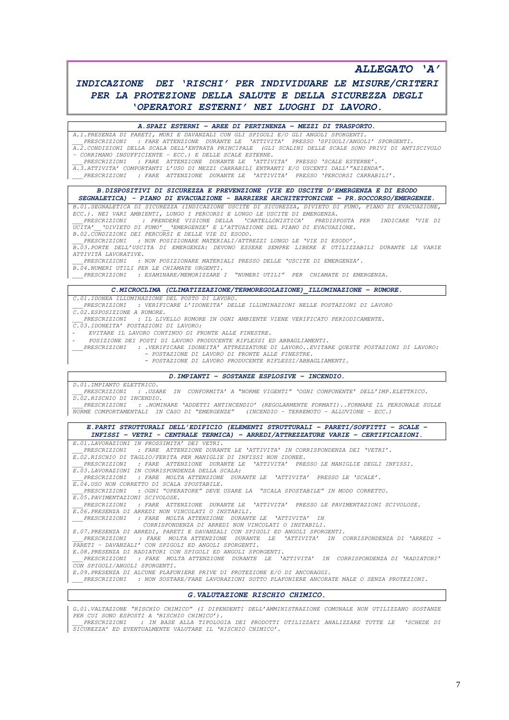*ALLEGATO 'A'*

# *INDICAZIONE DEI 'RISCHI' PER INDIVIDUARE LE MISURE/CRITERI PER LA PROTEZIONE DELLA SALUTE E DELLA SICUREZZA DEGLI 'OPERATORI ESTERNI' NEI LUOGHI DI LAVORO.*

#### *A.SPAZI ESTERNI – AREE DI PERTINENZA – MEZZI DI TRASPORTO.*

*A.1.PRESENZA DI PARETI, MURI E DAVANZALI CON GLI SPIGOLI E/O GLI ANGOLI SPORGENTI. \_\_\_PRESCRIZIONI : FARE ATTENZIONE DURANTE LE 'ATTIVITA' PRESSO 'SPIGOLI/ANGOLI' SPORGENTI. A.2.CONDIZIONI DELLA SCALA DELL'ENTRATA PRINCIPALE (GLI SCALINI DELLE SCALE SONO PRIVI DI ANTISCIVOLO – CORRIMANO INSUFFICIENTE – ECC.) E DELLE SCALE ESTERNE. \_\_\_PRESCRIZIONI : FARE ATTENZIONE DURANTE LE 'ATTIVITA' PRESSO 'SCALE ESTERNE'. A.3.ATTIVITA' COMPORTANTI L'USO DI MEZZI CARRABILI ENTRANTI E/O USCENTI DALL'"AZIENDA". \_\_\_PRESCRIZIONI : FARE ATTENZIONE DURANTE LE 'ATTIVITA' PRESSO 'PERCORSI CARRABILI'. B.DISPOSITIVI DI SICUREZZA E PREVENZIONE (VIE ED USCITE D'EMERGENZA E DI ESODO SEGNALETICA) - PIANO DI EVACUAZIONE - BARRIERE ARCHITETTONICHE – PR.SOCCORSO/EMERGENZE. B.01.SEGNALETICA DI SICUREZZA (INDICAZIONE USCITE DI SICUREZZA, DIVIETO DI FUMO, PIANO DI EVACUAZIONE, ECC.). NEI VARI AMBIENTI, LUNGO I PERCORSI E LUNGO LE USCITE DI EMERGENZA. \_\_\_PRESCRIZIONI : PRENDERE VISIONE DELLA 'CARTELLONISTICA' PREDISPOSTA PER INDICARE 'VIE DI UCITA'\_\_'DIVIETO DI FUMO'\_\_'EMERGENZE' E L'ATTUAZIONE DEL PIANO DI EVACUAZIONE. B.02.CONDIZIONI DEI PERCORSI E DELLE VIE DI ESODO. \_\_\_PRESCRIZIONI : NON POSIZIONARE MATERIALI/ATTREZZI LUNGO LE 'VIE DI ESODO'. B.03.PORTE DELL'USCITA DI EMERGENZA: DEVONO ESSERE SEMPRE LIBERE E UTILIZZABILI DURANTE LE VARIE ATTIVITÀ LAVORATIVE. \_\_\_PRESCRIZIONI : NON POSIZIONARE MATERIALI PRESSO DELLE 'USCITE DI EMERGENZA'. B.04.NUMERI UTILI PER LE CHIAMATE URGENTI. \_\_\_PRESCRIZIONI : ESAMINARE/MEMORIZZARE I "NUMERI UTILI" PER CHIAMATE DI EMERGENZA. C.MICROCLIMA (CLIMATIZZAZIONE/TERMOREGOLAZIONE)\_ILLUMINAZIONE – RUMORE. C.01.IDONEA ILLUMINAZIONE DEL POSTO DI LAVORO. \_\_\_PRESCRIZIONI : VERIFICARE L'IDONEITA' DELLE ILLUMINAZIONI NELLE POSTAZIONI DI LAVORO C.02.ESPOSIZIONE A RUMORE. \_\_\_PRESCRIZIONI : IL LIVELLO RUMORE IN OGNI AMBIENTE VIENE VERIFICATO PERIODICAMENTE. C.03.IDONEITA' POSTAZIONI DI LAVORO:* 

- *EVITARE IL LAVORO CONTINUO DI FRONTE ALLE FINESTRE.*
- *POSIZIONE DEI POSTI DI LAVORO PRODUCENTE RIFLESSI ED ABBAGLIAMENTI.*
- *\_\_\_PRESCRIZIONI : .VERIFICARE IDONEITA' ATTREZZATURE DI LAVORO..EVITARE QUESTE POSTAZIONI DI LAVORO: - POSTAZIONE DI LAVORO DI FRONTE ALLE FINESTRE.* 
	- *- POSTAZIONE DI LAVORO PRODUCENTE RIFLESSI/ABBAGLIAMENTI.*

#### *D.IMPIANTI – SOSTANZE ESPLOSIVE – INCENDIO.*

*\_\_\_PRESCRIZIONI : .USARE IN CONFORMITA' A "NORME VIGENTI" 'OGNI COMPONENTE' DELL'IMP.ELETTRICO. D.02.RISCHIO DI INCENDIO.*

PRESCRIZIONI : .NOMINARE 'ADDETTI ANTINCENDIO' (REGOLARMENTE FORMATI)..FORMARE IL PERSONALE SULLE<br>NORME COMPORTAMENTALI IN CASO DI "EMERGENZE" (INCENDIO – TERREMOTO – ALLUVIONE – ECC.)

*E.PARTI STRUTTURALI DELL'EDIFICIO (ELEMENTI STRUTTURALI – PARETI/SOFFITTI – SCALE – INFISSI – VETRI - CENTRALE TERMICA) – ARREDI/ATTREZZATURE VARIE – CERTIFICAZIONI.*

*E.01.LAVORAZIONI IN PROSSIMITA' DEI VETRI. \_\_\_PRESCRIZIONI : FARE ATTENZIONE DURANTE LE 'ATTIVITA' IN CORRISPONDENZA DEI 'VETRI'.* 

- *E.02.RISCHIO DI TAGLIO/FERITA PER MANIGLIE DI INFISSI NON IDONEE. \_\_\_PRESCRIZIONI : FARE ATTENZIONE DURANTE LE 'ATTIVITA' PRESSO LE MANIGLIE DEGLI INFISSI.*
- *E.03.LAVORAZIONI IN CORRISPONDENZA DELLA SCALA:*

*\_\_\_PRESCRIZIONI : FARE MOLTA ATTENZIONE DURANTE LE 'ATTIVITA' PRESSO LE 'SCALE'.*

*E.04.USO NON CORRETTO DI SCALA SPOSTABILE.*

*D.01.IMPIANTO ELETTRICO.*

*\_\_\_PRESCRIZIONI : OGNI "OPERATORE" DEVE USARE LA "SCALA SPOSTABILE" IN MODO CORRETTO.*

*E.05.PAVIMENTAZIONI SCIVOLOSE. \_\_\_PRESCRIZIONI : FARE ATTENZIONE DURANTE LE 'ATTIVITA' PRESSO LE PAVIMENTAZIONI SCIVOLOSE.*

*E.06.PRESENZA DI ARREDI NON VINCOLATI O INSTABILI. \_\_\_PRESCRIZIONI : FARE MOLTA ATTENZIONE DURANTE LE 'ATTIVITA' IN* 

 *CORRISPONDENZA DI ARREDI NON VINCOLATI O INSTABILI.*

*E.07.PRESENZA DI ARREDI, PARETI E DAVANZALI CON SPIGOLI ED ANGOLI SPORGENTI. \_\_\_PRESCRIZIONI : FARE MOLTA ATTENZIONE DURANTE LE 'ATTIVITA' IN CORRISPONDENZA DI 'ARREDI - PARETI – DAVANZALI' CON SPIGOLI ED ANGOLI SPORGENTI.*

*E.08.PRESENZA DI RADIATORI CON SPIGOLI ED ANGOLI SPORGENTI. \_\_\_PRESCRIZIONI : FARE MOLTA ATTENZIONE DURANTE LE 'ATTIVITA' IN CORRISPONDENZA DI 'RADIATORI' CON SPIGOLI/ANGOLI SPORGENTI.*

*E.09.PRESENZA DI ALCUNE PLAFONIERE PRIVE DI PROTEZIONE E/O DI ANCORAGGI. \_\_\_PRESCRIZIONI : NON SOSTARE/FARE LAVORAZIONI SOTTO PLAFONIERE ANCORATE MALE O SENZA PROTEZIONI.*

### *G.VALUTAZIONE RISCHIO CHIMICO.*

*G.01.VALTAZIONE "RISCHIO CHIMICO" (I DIPENDENTI DELL'AMMINISTRAZIONE COMUNALE NON UTILIZZANO SOSTANZE PER CUI SONO ESPOSTI A 'RISCHIO CHIMICO'). \_\_\_PRESCRIZIONI : IN BASE ALLA TIPOLOGIA DEI PRODOTTI UTILIZZATI ANALIZZARE TUTTE LE 'SCHEDE DI* 

*SICUREZZA' ED EVENTUALMENTE VALUTARE IL 'RISCHIO CHIMICO'.*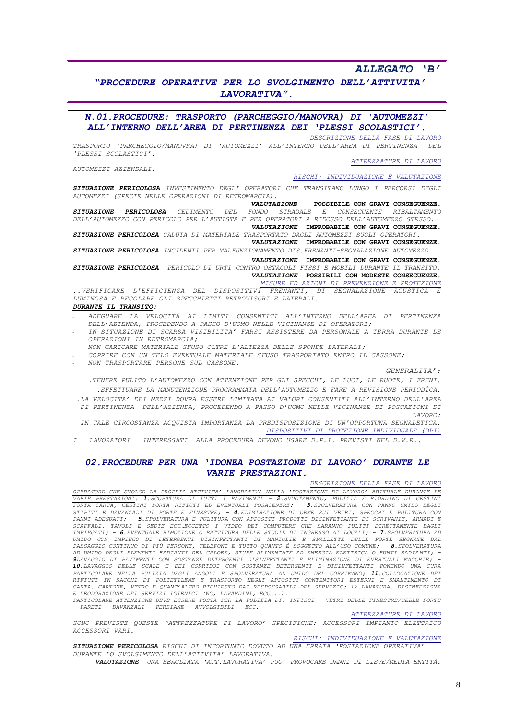## *ALLEGATO 'B'*

## *"PROCEDURE OPERATIVE PER LO SVOLGIMENTO DELL'ATTIVITA' LAVORATIVA".*

*N.01.PROCEDURE: TRASPORTO (PARCHEGGIO/MANOVRA) DI 'AUTOMEZZI' ALL'INTERNO DELL'AREA DI PERTINENZA DEI 'PLESSI SCOLASTICI'. DESCRIZIONE DELLA FASE DI LAVORO TRASPORTO (PARCHEGGIO/MANOVRA) DI 'AUTOMEZZI' ALL'INTERNO DELL'AREA DI PERTINENZA DEL 'PLESSI SCOLASTICI'. ATTREZZATURE DI LAVORO AUTOMEZZI AZIENDALI. RISCHI: INDIVIDUAZIONE E VALUTAZIONE SITUAZIONE PERICOLOSA INVESTIMENTO DEGLI OPERATORI CHE TRANSITANO LUNGO I PERCORSI DEGLI AUTOMEZZI (SPECIE NELLE OPERAZIONI DI RETROMARCIA). VALUTAZIONE* **POSSIBILE CON GRAVI CONSEGUENZE.** *SITUAZIONE PERICOLOSA CEDIMENTO DEL FONDO STRADALE E CONSEGUENTE RIBALTAMENTO DELL'AUTOMEZZO CON PERICOLO PER L'AUTISTA E PER OPERATORI A RIDOSSO DELL'AUTOMEZZO STESSO. VALUTAZIONE* **IMPROBABILE CON GRAVI CONSEGUENZE.** *SITUAZIONE PERICOLOSA CADUTA DI MATERIALE TRASPORTATO DAGLI AUTOMEZZI SUGLI OPERATORI. VALUTAZIONE* **IMPROBABILE CON GRAVI CONSEGUENZE.** *SITUAZIONE PERICOLOSA INCIDENTI PER MALFUNZIONAMENTO DIS.FRENANTI-SEGNALAZIONE AUTOMEZZO. VALUTAZIONE* **IMPROBABILE CON GRAVI CONSEGUENZE.**  *SITUAZIONE PERICOLOSA PERICOLO DI URTI CONTRO OSTACOLI FISSI E MOBILI DURANTE IL TRANSITO. VALUTAZIONE* **POSSIBILI CON MODESTE CONSEGUENZE.** *MISURE ED AZIONI DI PREVENZIONE E PROTEZIONE ..VERIFICARE L'EFFICIENZA DEL DISPOSITIVI FRENANTI, DI SEGNALAZIONE ACUSTICA E LUMINOSA E REGOLARE GLI SPECCHIETTI RETROVISORI E LATERALI. DURANTE IL TRANSITO:*  - *ADEGUARE LA VELOCITÀ AI LIMITI CONSENTITI ALL'INTERNO DELL'AREA DI PERTINENZA DELL'AZIENDA, PROCEDENDO A PASSO D'UOMO NELLE VICINANZE DI OPERATORI;*  - *IN SITUAZIONE DI SCARSA VISIBILITA' FARSI ASSISTERE DA PERSONALE A TERRA DURANTE LE OPERAZIONI IN RETROMARCIA;*  - *NON CARICARE MATERIALE SFUSO OLTRE L'ALTEZZA DELLE SPONDE LATERALI;* - *COPRIRE CON UN TELO EVENTUALE MATERIALE SFUSO TRASPORTATO ENTRO IL CASSONE;* 

- *NON TRASPORTARE PERSONE SUL CASSONE.*

*GENERALITA':*

- *.TENERE PULITO L'AUTOMEZZO CON ATTENZIONE PER GLI SPECCHI, LE LUCI, LE RUOTE, I FRENI. .EFFETTUARE LA MANUTENZIONE PROGRAMMATA DELL'AUTOMEZZO E FARE A REVISIONE PERIODÌCA.*
- *.LA VELOCITA' DEI MEZZI DOVRÀ ESSERE LIMITATA AI VALORI CONSENTITI ALL'INTERNO DELL'AREA DI PERTINENZA DELL'AZIENDA, PROCEDENDO A PASSO D'UOMO NELLE VICINANZE DI POSTAZIONI DI LAVORO:*
- *IN TALE CIRCOSTANZA ACQUISTA IMPORTANZA LA PREDISPOSIZIONE DI UN'OPPORTUNA SEGNALETICA. DISPOSITIVI DI PROTEZIONE INDIVIDUALE (DPI)*

*I LAVORATORI INTERESSATI ALLA PROCEDURA DEVONO USARE D.P.I. PREVISTI NEL D.V.R..*

### *02.PROCEDURE PER UNA 'IDONEA POSTAZIONE DI LAVORO' DURANTE LE VARIE PRESTAZIONI.*

*DESCRIZIONE DELLA FASE DI LAVORO*

*OPERATORE CHE SVOLGE LA PROPRIA ATTIVITA' LAVORATIVA NELLA 'POSTAZIONE DI LAVORO' ABITUALE DURANTE LE VARIE PRESTAZIONI: 1.SCOPATURA DI TUTTI I PAVIMENTI – 2.SVUOTAMENTO, PULIZIA E RIORDINO DI CESTINI*  PORTA CARTA, CESTINI PORTA RIFIUTI ED EVENTUALI POSACENERE; - **3.**SPOLVERATURA CON PANNO UMIDO DEGLI<br>STIPITI E DAVANZALI DI PORTE E FINESTRE; - **4.**ELIMINAZIONE DI ORME SUI VETRI, SPECCHI E PULITURA CON<br>PANNI ADEGUATI; - *SCAFFALI, TAVOLI E SEDIE ECC…ECCETTO I VIDEO DEI COMPUTERS CHE SARANNO PULITI DIRETTAMENTE DAGLI IMPIEGATI; - 6.EVENTUALE RIMOZIONE O BATTITURA DELLE STUOIE DI INGRESSO AI LOCALI; - 7.SPOLVERATURA AD UMIDO CON IMPIEGO DI DETERGENTI DISINFETTANTI DI MANIGLIE E SPALLETTE DELLE PORTE SEGNATE DAL PASSAGGIO CONTINUO DI PIÙ PERSONE, TELEFONI E TUTTO QUANTO È SOGGETTO ALL'USO COMUNE; - 8.SPOLVERATURA<br>AD UMIDO DEGLI ELEMENTI RADIANTI DEL CALORE, STUFE ALIMENTATE AD ENERGIA ELETTRICA O PUNTI RADIANTI; -<br>9LAVAGGIO DI PA 10.LAVAGGIO DELLE SCALE E DEI CORRIDOI CON SOSTANZE DETERGENTI E DISINFETTANTI PONENDO UNA CURA PARTICOLARE NELLA PULIZIA DEGLI ANGOLI E SPOLVERATURA AD UMIDO DEL CORRIMANO; 11.COLLOCAZIONE DEI RIFIUTI IN SACCHI DI POLIETILENE E TRASPORTO NEGLI APPOSITI CONTENITORI ESTERNI E SMALTIMENTO DI CARTA, CARTONE, VETRO E QUANT'ALTRO RICHIESTO DAI RESPONSABILI DEL SERVIZIO; 12.LAVATURA, DISINFEZIONE E DEODORAZIONE DEI SERVIZI IGIENICI (WC, LAVANDINI, ECC…..). PARTICOLARE ATTENZIONE DEVE ESSERE POSTA PER LA PULIZIA DI: INFISSI - VETRI DELLE FINESTRE/DELLE PORTE* 

*– PARETI – DAVANZALI – PERSIANE – AVVOLGIBILI - ECC.*

*ATTREZZATURE DI LAVORO*

*SONO PREVISTE QUESTE 'ATTREZZATURE DI LAVORO' SPECIFICHE: ACCESSORI IMPIANTO ELETTRICO ACCESSORI VARI.*

*RISCHI: INDIVIDUAZIONE E VALUTAZIONE*

*SITUAZIONE PERICOLOSA RISCHI DI INFORTUNIO DOVUTO AD UNA ERRATA 'POSTAZIONE OPERATIVA' DURANTE LO SVOLGIMENTO DELL'ATTIVITA' LAVORATIVA.*

*VALUTAZIONE UNA SBAGLIATA 'ATT.LAVORATIVA' PUO' PROVOCARE DANNI DI LIEVE/MEDIA ENTITÀ.*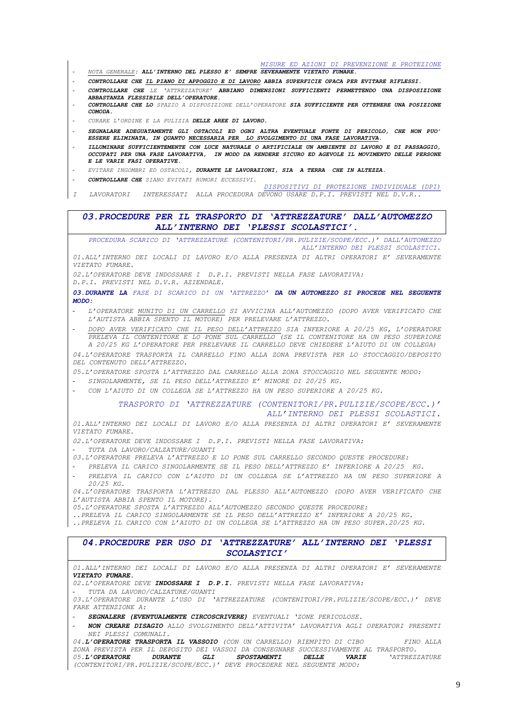*MISURE ED AZIONI DI PREVENZIONE E PROTEZIONE* - *NOTA GENERALE: ALL'INTERNO DEL PLESSO E' SEMPRE SEVERAMENTE VIETATO FUMARE.* - *CONTROLLARE CHE IL PIANO DI APPOGGIO E DI LAVORO ABBIA SUPERFICIE OPACA PER EVITARE RIFLESSI.* - *CONTROLLARE CHE LE 'ATTREZZATURE' ABBIANO DIMENSIONI SUFFICIENTI PERMETTENDO UNA DISPOSIZIONE ABBASTANZA FLESSIBILE DELL'OPERATORE.* - *CONTROLLARE CHE LO SPAZIO A DISPOSIZIONE DELL'OPERATORE SIA SUFFICIENTE PER OTTENERE UNA POSIZIONE COMODA.* - *CURARE L'ORDINE E LA PULIZIA DELLE AREE DI LAVORO.* - *SEGNALARE ADEGUATAMENTE GLI OSTACOLI ED OGNI ALTRA EVENTUALE FONTE DI PERICOLO, CHE NON PUO' ESSERE ELIMINATA, IN QUANTO NECESSARIA PER LO SVOLGIMENTO DI UNA FASE LAVORATIVA.* - *ILLUMINARE SUFFICIENTEMENTE CON LUCE NATURALE O ARTIFICIALE UN AMBIENTE DI LAVORO E DI PASSAGGIO, OCCUPATI PER UNA FASE LAVORATIVA, IN MODO DA RENDERE SICURO ED AGEVOLE IL MOVIMENTO DELLE PERSONE E LE VARIE FASI OPERATIVE.* - *EVITARE INGOMBRI ED OSTACOLI, DURANTE LE LAVORAZIONI, SIA A TERRA CHE IN ALTEZZA.* - *CONTROLLARE CHE SIANO EVITATI RUMORI ECCESSIVI. DISPOSITIVI DI PROTEZIONE INDIVIDUALE (DPI) I LAVORATORI INTERESSATI ALLA PROCEDURA DEVONO USARE D.P.I. PREVISTI NEL D.V.R.. 03.PROCEDURE PER IL TRASPORTO DI 'ATTREZZATURE' DALL'AUTOMEZZO ALL'INTERNO DEI 'PLESSI SCOLASTICI'. PROCEDURA SCARICO DI 'ATTREZZATURE (CONTENITORI/PR.PULIZIE/SCOPE/ECC.)' DALL'AUTOMEZZO ALL'INTERNO DEI PLESSI SCOLASTICI. 01.ALL'INTERNO DEI LOCALI DI LAVORO E/O ALLA PRESENZA DI ALTRI OPERATORI E' SEVERAMENTE VIETATO FUMARE. 02.L'OPERATORE DEVE INDOSSARE I D.P.I. PREVISTI NELLA FASE LAVORATIVA: D.P.I. PREVISTI NEL D.V.R. AZIENDALE. 03.DURANTE LA FASE DI SCARICO DI UN 'ATTREZZO' DA UN AUTOMEZZO SI PROCEDE NEL SEGUENTE MODO:*  - *L'OPERATORE MUNITO DI UN CARRELLO SI AVVICINA ALL'AUTOMEZZO (DOPO AVER VERIFICATO CHE L'AUTISTA ABBIA SPENTO IL MOTORE) PER PRELEVARE L'ATTREZZO.* - *DOPO AVER VERIFICATO CHE IL PESO DELL'ATTREZZO SIA INFERIORE A 20/25 KG, L'OPERATORE PRELEVA IL CONTENITORE E LO PONE SUL CARRELLO (SE IL CONTENITORE HA UN PESO SUPERIORE A 20/25 KG L'OPERATORE PER PRELEVARE IL CARRELLO DEVE CHIEDERE L'AIUTO DI UN COLLEGA) 04.L'OPERATORE TRASPORTA IL CARRELLO FINO ALLA ZONA PREVISTA PER LO STOCCAGGIO/DEPOSITO DEL CONTENUTO DELL'ATTREZZO. 05.L'OPERATORE SPOSTA L'ATTREZZO DAL CARRELLO ALLA ZONA STOCCAGGIO NEL SEGUENTE MODO:* - *SINGOLARMENTE, SE IL PESO DELL'ATTREZZO E' MINORE DI 20/25 KG.* - *CON L'AIUTO DI UN COLLEGA SE L'ATTREZZO HA UN PESO SUPERIORE A 20/25 KG. TRASPORTO DI 'ATTREZZATURE (CONTENITORI/PR.PULIZIE/SCOPE/ECC.)' ALL'INTERNO DEI PLESSI SCOLASTICI. 01.ALL'INTERNO DEI LOCALI DI LAVORO E/O ALLA PRESENZA DI ALTRI OPERATORI E' SEVERAMENTE VIETATO FUMARE. 02.L'OPERATORE DEVE INDOSSARE I D.P.I. PREVISTI NELLA FASE LAVORATIVA:* - *TUTA DA LAVORO/CALZATURE/GUANTI 03.L'OPERATORE PRELEVA L'ATTREZZO E LO PONE SUL CARRELLO SECONDO QUESTE PROCEDURE:* - *PRELEVA IL CARICO SINGOLARMENTE SE IL PESO DELL'ATTREZZO E' INFERIORE A 20/25 KG.* - *PRELEVA IL CARICO CON L'AIUTO DI UN COLLEGA SE L'ATTREZZO HA UN PESO SUPERIORE A 20/25 KG. 04.L'OPERATORE TRASPORTA L'ATTREZZO DAL PLESSO ALL'AUTOMEZZO (DOPO AVER VERIFICATO CHE L'AUTISTA ABBIA SPENTO IL MOTORE). 05.L'OPERATORE SPOSTA L'ATTREZZO ALL'AUTOMEZZO SECONDO QUESTE PROCEDURE: ..PRELEVA IL CARICO SINGOLARMENTE SE IL PESO DELL'ATTREZZO E' INFERIORE A 20/25 KG. ..PRELEVA IL CARICO CON L'AIUTO DI UN COLLEGA SE L'ATTREZZO HA UN PESO SUPER.20/25 KG. 04.PROCEDURE PER USO DI 'ATTREZZATURE' ALL'INTERNO DEI 'PLESSI SCOLASTICI' 01.ALL'INTERNO DEI LOCALI DI LAVORO E/O ALLA PRESENZA DI ALTRI OPERATORI E' SEVERAMENTE VIETATO FUMARE. 02.L'OPERATORE DEVE INDOSSARE I D.P.I. PREVISTI NELLA FASE LAVORATIVA:* - *TUTA DA LAVORO/CALZATURE/GUANTI*

*03.L'OPERATORE DURANTE L'USO DI 'ATTREZZATURE (CONTENITORI/PR.PULIZIE/SCOPE/ECC.)' DEVE FARE ATTENZIONE A:*

- *SEGNALERE (EVENTUALMENTE CIRCOSCRIVERE) EVENTUALI 'ZONE PERICOLOSE.*
- *NON CREARE DISAGIO ALLO SVOLGIMENTO DELL'ATTIVITA' LAVORATIVA AGLI OPERATORI PRESENTI NEI PLESSI COMUNALI.*

*04.L'OPERATORE TRASPORTA IL VASSOIO (CON UN CARRELLO) RIEMPITO DI CIBO FINO ALLA ZONA PREVISTA PER IL DEPOSITO DEI VASSOI DA CONSEGNARE SUCCESSIVAMENTE AL TRASPORTO. 05.L'OPERATORE DURANTE GLI SPOSTAMENTI DELLE VARIE 'ATTREZZATURE (CONTENITORI/PR.PULIZIE/SCOPE/ECC.)' DEVE PROCEDERE NEL SEGUENTE MODO:*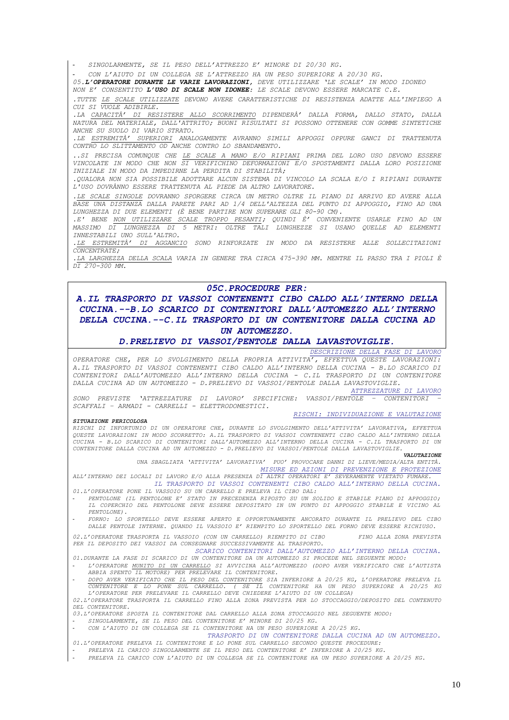- *SINGOLARMENTE, SE IL PESO DELL'ATTREZZO E' MINORE DI 20/30 KG.*

- *CON L'AIUTO DI UN COLLEGA SE L'ATTREZZO HA UN PESO SUPERIORE A 20/30 KG.*

*05.L'OPERATORE DURANTE LE VARIE LAVORAZIONI, DEVE UTILIZZARE 'LE SCALE' IN MODO IDONEO* 

*NON E' CONSENTITO L'USO DI SCALE NON IDONEE: LE SCALE DEVONO ESSERE MARCATE C.E.*

*.TUTTE LE SCALE UTILIZZATE DEVONO AVERE CARATTERISTICHE DI RESISTENZA ADATTE ALL'IMPIEGO A CUI SI VUOLE ADIBIRLE.* 

*.LA CAPACITÀ' DI RESISTERE ALLO SCORRIMENTO DIPENDERÀ' DALLA FORMA, DALLO STATO, DALLA NATURA DEL MATERIALE, DALL'ATTRITO; BUONI RISULTATI SI POSSONO OTTENERE CON GOMME SINTETICHE ANCHE SU SUOLO DI VARIO STRATO.*

*.LE ESTREMITÀ' SUPERIORI ANALOGAMENTE AVRANNO SIMILI APPOGGI OPPURE GANCI DI TRATTENUTA CONTRO LO SLITTAMENTO OD ANCHE CONTRO LO SBANDAMENTO.* 

*..SI PRECISA COMUNQUE CHE LE SCALE A MANO E/O RIPIANI PRIMA DEL LORO USO DEVONO ESSERE VINCOLATE IN MODO CHE NON SI VERIFICHINO DEFORMAZIONI E/O SPOSTAMENTI DALLA LORO POSIZIONE INIZIALE IN MODO DA IMPEDIRNE LA PERDITA DI STABILITÀ;* 

*.QUALORA NON SIA POSSIBILE ADOTTARE ALCUN SISTEMA DI VINCOLO LA SCALA E/O I RIPIANI DURANTE L'USO DOVRÀNNO ESSERE TRATTENUTA AL PIEDE DA ALTRO LAVORATORE.*

*.LE SCALE SINGOLE DOVRANNO SPORGERE CIRCA UN METRO OLTRE IL PIANO DI ARRIVO ED AVERE ALLA BASE UNA DISTANZA DALLA PARETE PARI AD 1/4 DELL'ALTEZZA DEL PUNTO DI APPOGGIO, FINO AD UNA LUNGHEZZA DI DUE ELEMENTI (È BENE PARTIRE NON SUPERARE GLI 80-90 CM).*

*.E' BENE NON UTILIZZARE SCALE TROPPO PESANTI; QUINDI È' CONVENIENTE USARLE FINO AD UN MASSIMO DI LUNGHEZZA DI 5 METRI: OLTRE TALI LUNGHEZZE SI USANO QUELLE AD ELEMENTI INNESTABILI UNO SULL'ALTRO.* 

*.LE ESTREMITÀ' DI AGGANCIO SONO RINFORZATE IN MODO DA RESISTERE ALLE SOLLECITAZIONI CONCENTRATE;* 

*.LA LARGHEZZA DELLA SCALA VARIA IN GENERE TRA CIRCA 475-390 MM. MENTRE IL PASSO TRA I PIOLI È DI 270-300 MM.*

### *05C.PROCEDURE PER:*

*A.IL TRASPORTO DI VASSOI CONTENENTI CIBO CALDO ALL'INTERNO DELLA CUCINA.--B.LO SCARICO DI CONTENITORI DALL'AUTOMEZZO ALL'INTERNO DELLA CUCINA.--C.IL TRASPORTO DI UN CONTENITORE DALLA CUCINA AD UN AUTOMEZZO.*

### *D.PRELIEVO DI VASSOI/PENTOLE DALLA LAVASTOVIGLIE.*

*DESCRIZIONE DELLA FASE DI LAVORO*

*OPERATORE CHE, PER LO SVOLGIMENTO DELLA PROPRIA ATTIVITA', EFFETTUA QUESTE LAVORAZIONI: A.IL TRASPORTO DI VASSOI CONTENENTI CIBO CALDO ALL'INTERNO DELLA CUCINA - B.LO SCARICO DI CONTENITORI DALL'AUTOMEZZO ALL'INTERNO DELLA CUCINA - C.IL TRASPORTO DI UN CONTENITORE DALLA CUCINA AD UN AUTOMEZZO - D.PRELIEVO DI VASSOI/PENTOLE DALLA LAVASTOVIGLIE.*

*ATTREZZATURE DI LAVORO*

*SONO PREVISTE 'ATTREZZATURE DI LAVORO' SPECIFICHE: VASSOI/PENTOLE – CONTENITORI – SCAFFALI – ARMADI - CARRELLI - ELETTRODOMESTICI.*

#### *RISCHI: INDIVIDUAZIONE E VALUTAZIONE*

*SITUAZIONE PERICOLOSA*

RISCHI DI INFORTUNIO DI UN OPERATORE CHE, DURANTE LO SVOLGIMENTO DELL'ATTIVITA' LAVORATIVA, EFFETTUA<br>QUESTE LAVORAZIONI IN MODO SCORRETTO: A.IL TRASPORTO DI VASSOI CONTENENTI CIBO CALDO ALL'INTERNO DELLA *CUCINA - B.LO SCARICO DI CONTENITORI DALL'AUTOMEZZO ALL'INTERNO DELLA CUCINA - C.IL TRASPORTO DI UN CONTENITORE DALLA CUCINA AD UN AUTOMEZZO - D.PRELIEVO DI VASSOI/PENTOLE DALLA LAVASTOVIGLIE.*

#### *VALUTAZIONE*

*UNA SBAGLIATA 'ATTIVITA' LAVORATIVA' PUO' PROVOCARE DANNI DI LIEVE/MEDIA/ALTA ENTITÀ. MISURE ED AZIONI DI PREVENZIONE E PROTEZIONE*

*ALL'INTERNO DEI LOCALI DI LAVORO E/O ALLA PRESENZA DI ALTRI OPERATORI E' SEVERAMENTE VIETATO FUMARE. IL TRASPORTO DI VASSOI CONTENENTI CIBO CALDO ALL'INTERNO DELLA CUCINA. 01.L'OPERATORE PONE IL VASSOIO SU UN CARRELLO E PRELEVA IL CIBO DAL:*

- *PENTOLONE (IL PENTOLONE E' STATO IN PRECEDENZA RIPOSTO SU UN SOLIDO E STABILE PIANO DI APPOGGIO; IL COPERCHIO DEL PENTOLONE DEVE ESSERE DEPOSITATO IN UN PUNTO DI APPOGGIO STABILE E VICINO AL PENTOLONE).*
- *FORNO: LO SPORTELLO DEVE ESSERE APERTO E OPPORTUNAMENTE ANCORATO DURANTE IL PRELIEVO DEL CIBO DALLE PENTOLE INTERNE. QUANDO IL VASSOIO E' RIEMPITO LO SPORTELLO DEL FORNO DEVE ESSERE RICHIUSO.*

*02.L'OPERATORE TRASPORTA IL VASSOIO (CON UN CARRELLO) RIEMPITO DI CIBO FINO ALLA ZONA PREVISTA PER IL DEPOSITO DEI VASSOI DA CONSEGNARE SUCCESSIVAMENTE AL TRASPORTO.*

*SCARICO CONTENITORI DALL'AUTOMEZZO ALL'INTERNO DELLA CUCINA.*

*01.DURANTE LA FASE DI SCARICO DI UN CONTENITORE DA UN AUTOMEZZO SI PROCEDE NEL SEGUENTE MODO:*  - *L'OPERATORE MUNITO DI UN CARRELLO SI AVVICINA ALL'AUTOMEZZO (DOPO AVER VERIFICATO CHE L'AUTISTA* 

*ABBIA SPENTO IL MOTORE) PER PRELEVARE IL CONTENITORE.* - *DOPO AVER VERIFICATO CHE IL PESO DEL CONTENITORE SIA INFERIORE A 20/25 KG, L'OPERATORE PRELEVA IL* 

*CONTENITORE E LO PONE SUL CARRELLO. ( SE IL CONTENITORE HA UN PESO SUPERIORE A 20/25 KG L'OPERATORE PER PRELEVARE IL CARRELLO DEVE CHIEDERE L'AIUTO DI UN COLLEGA) 02.L'OPERATORE TRASPORTA IL CARRELLO FINO ALLA ZONA PREVISTA PER LO STOCCAGGIO/DEPOSITO DEL CONTENUTO* 

*DEL CONTENITORE. 03.L'OPERATORE SPOSTA IL CONTENITORE DAL CARRELLO ALLA ZONA STOCCAGGIO NEL SEGUENTE MODO:*

- *SINGOLARMENTE, SE IL PESO DEL CONTENITORE E' MINORE DI 20/25 KG.*
- *CON L'AIUTO DI UN COLLEGA SE IL CONTENITORE HA UN PESO SUPERIORE A 20/25 KG.*

*TRASPORTO DI UN CONTENITORE DALLA CUCINA AD UN AUTOMEZZO.*

*01.L'OPERATORE PRELEVA IL CONTENITORE E LO PONE SUL CARRELLO SECONDO QUESTE PROCEDURE:*

- *PRELEVA IL CARICO SINGOLARMENTE SE IL PESO DEL CONTENITORE E' INFERIORE A 20/25 KG.*
- *PRELEVA IL CARICO CON L'AIUTO DI UN COLLEGA SE IL CONTENITORE HA UN PESO SUPERIORE A 20/25 KG.*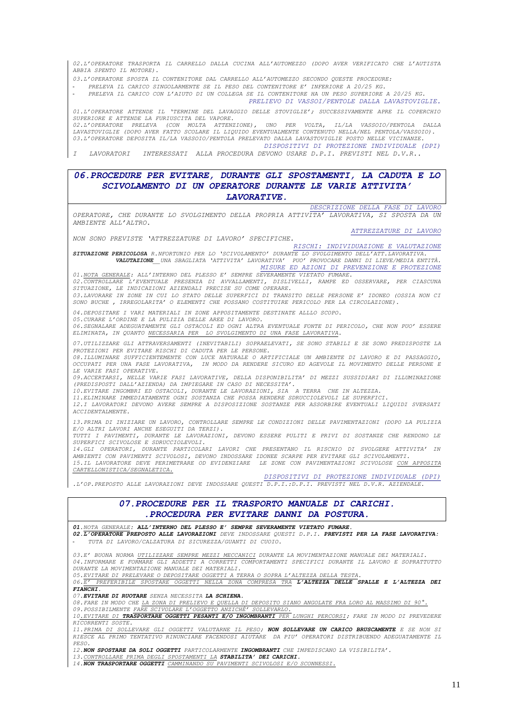*02.L'OPERATORE TRASPORTA IL CARRELLO DALLA CUCINA ALL'AUTOMEZZO (DOPO AVER VERIFICATO CHE L'AUTISTA ABBIA SPENTO IL MOTORE).*

*03.L'OPERATORE SPOSTA IL CONTENITORE DAL CARRELLO ALL'AUTOMEZZO SECONDO QUESTE PROCEDURE:*

- *PRELEVA IL CARICO SINGOLARMENTE SE IL PESO DEL CONTENITORE E' INFERIORE A 20/25 KG.*

- *PRELEVA IL CARICO CON L'AIUTO DI UN COLLEGA SE IL CONTENITORE HA UN PESO SUPERIORE A 20/25 KG. PRELIEVO DI VASSOI/PENTOLE DALLA LAVASTOVIGLIE.*

*01.L'OPERATORE ATTENDE IL 'TERMINE DEL LAVAGGIO DELLE STOVIGLIE'; SUCCESSIVAMENTE APRE IL COPERCHIO SUPERIORE E ATTENDE LA FURIUSCITA DEL VAPORE.*

*02.L'OPERATORE PRELEVA (CON MOLTA ATTENZIONE), UNO PER VOLTA, IL/LA VASSOIO/PENTOLA DALLA LAVASTOVIGLIE (DOPO AVER FATTO SCOLARE IL LIQUIDO EVENTUALMENTE CONTENUTO NELLA/NEL PENTOLA/VASSOIO). 03.L'OPERATORE DEPOSITA IL/LA VASSOIO/PENTOLA PRELEVATO DALLA LAVASTOVIGLIE POSTO NELLE VICINANZE.*

*DISPOSITIVI DI PROTEZIONE INDIVIDUALE (DPI)*

*I LAVORATORI INTERESSATI ALLA PROCEDURA DEVONO USARE D.P.I. PREVISTI NEL D.V.R..*

## *06.PROCEDURE PER EVITARE, DURANTE GLI SPOSTAMENTI, LA CADUTA E LO SCIVOLAMENTO DI UN OPERATORE DURANTE LE VARIE ATTIVITA' LAVORATIVE.*

*OPERATORE, CHE DURANTE LO SVOLGIMENTO DELLA PROPRIA ATTIVITA' LAVORATIVA, SI SPOSTA DA UN AMBIENTE ALL'ALTRO.*

*ATTREZZATURE DI LAVORO*

*DESCRIZIONE DELLA FASE DI LAVORO*

*NON SONO PREVISTE 'ATTREZZATURE DI LAVORO' SPECIFICHE. RISCHI: INDIVIDUAZIONE E VALUTAZIONE*

*SITUAZIONE PERICOLOSA R.NFORTUNIO PER LO 'SCIVOLAMENTO' DURANTE LO SVOLGIMENTO DELL'ATT.LAVORATIVA. VALUTAZIONE\_\_UNA SBAGLIATA 'ATTIVITA' LAVORATIVA' PUO' PROVOCARE DANNI DI LIEVE/MEDIA ENTITÀ. MISURE ED AZIONI DI PREVENZIONE E PROTEZIONE*

*01.NOTA GENERALE: ALL'INTERNO DEL PLESSO E' SEMPRE SEVERAMENTE VIETATO FUMARE. 02.CONTROLLARE L'EVENTUALE PRESENZA DI AVVALLAMENTI, DISLIVELLI, RAMPE ED OSSERVARE, PER CIASCUNA SITUAZIONE, LE INDICAZIONI AZIENDALI PRECISE SU COME OPERARE. 03.LAVORARE IN ZONE IN CUI LO STATO DELLE SUPERFICI DI TRANSITO DELLE PERSONE E' IDONEO (OSSIA NON CI* 

*SONO BUCHE , IRREGOLARITA' O ELEMENTI CHE POSSANO COSTITUIRE PERICOLO PER LA CIRCOLAZIONE).*

*04.DEPOSITARE I VARI MATERIALI IN ZONE APPOSITAMENTE DESTINATE ALLLO SCOPO. 05.CURARE L'ORDINE E LA PULIZIA DELLE AREE DI LAVORO.*

*06.SEGNALARE ADEGUATAMENTE GLI OSTACOLI ED OGNI ALTRA EVENTUALE FONTE DI PERICOLO, CHE NON PUO' ESSERE ELIMINATA, IN QUANTO NECESSARIA PER LO SVOLGIMENTO DI UNA FASE LAVORATIVA.*

*07.UTILIZZARE GLI ATTRAVERSAMENTI (INEVITABILI) SOPRAELEVATI, SE SONO STABILI E SE SONO PREDISPOSTE LA PROTEZIONI PER EVITARE RISCHI DI CADUTA PER LE PERSONE.*

*08.ILLUMINARE SUFFICIENTEMENTE CON LUCE NATURALE O ARTIFICIALE UN AMBIENTE DI LAVORO E DI PASSAGGIO, OCCUPATI PER UNA FASE LAVORATIVA, IN MODO DA RENDERE SICURO ED AGEVOLE IL MOVIMENTO DELLE PERSONE E LE VARIE FASI OPERATIVE.*

*09.ACCERTARSI, NELLE VARIE FASI LAVORATIVE, DELLA DISPONIBILITA' DI MEZZI SUSSIDIARI DI ILLUMINAZIONE (PREDISPOSTI DALL'AZIENDA) DA IMPIEGARE IN CASO DI NECESSITA'.*

*10.EVITARE INGOMBRI ED OSTACOLI, DURANTE LE LAVORAZIONI, SIA A TERRA CHE IN ALTEZZA.*

*11.ELIMINARE IMMEDIATAMENTE OGNI SOSTANZA CHE POSSA RENDERE SDRUCCIOLEVOLI LE SUPERFICI.*

*12.I LAVORATORI DEVONO AVERE SEMPRE A DISPOSIZIONE SOSTANZE PER ASSORBIRE EVENTUALI LIQUIDI SVERSATI ACCIDENTALMENTE.*

*13.PRIMA DI INIZIARE UN LAVORO, CONTROLLARE SEMPRE LE CONDIZIONI DELLE PAVIMENTAZIONI (DOPO LA PULIZIA* 

*E/O ALTRI LAVORI ANCHE ESEGUITI DA TERZI). TUTTI I PAVIMENTI, DURANTE LE LAVORAZIONI, DEVONO ESSERE PULITI E PRIVI DI SOSTANZE CHE RENDONO LE SUPERFICI SCIVOLOSE E SDRUCCIOLEVOLI.*

*14.GLI OPERATORI, DURANTE PARTICOLARI LAVORI CHE PRESENTANO IL RISCHIO DI SVOLGERE ATTIVITA' IN AMBIENTI CON PAVIMENTI SCIVOLOSI, DEVONO INDOSSARE IDONEE SCARPE PER EVITARE GLI SCIVOLAMENTI. 15.IL LAVORATORE DEVE PERIMETRARE OD EVIDENZIARE LE ZONE CON PAVIMENTAZIONI SCIVOLOSE CON APPOSITA CARTELLONISTICA/SEGNALETICA.*

*DISPOSITIVI DI PROTEZIONE INDIVIDUALE (DPI)*

*.L'OP.PREPOSTO ALLE LAVORAZIONI DEVE INDOSSARE QUESTI D.P.I.:D.P.I. PREVISTI NEL D.V.R. AZIENDALE.*

#### *07.PROCEDURE PER IL TRASPORTO MANUALE DI CARICHI. .PROCEDURA PER EVITARE DANNI DA POSTURA. 01.NOTA GENERALE: ALL'INTERNO DEL PLESSO E' SEMPRE SEVERAMENTE VIETATO FUMARE. 02.L'OPERATORE PREPOSTO ALLE LAVORAZIONI DEVE INDOSSARE QUESTI D.P.I. PREVISTI PER LA FASE LAVORATIVA:* - *TUTA DI LAVORO/CALZATURA DI SICUREZZA/GUANTI DI CUOIO. 03.E' BUONA NORMA UTILIZZARE SEMPRE MEZZI MECCANICI DURANTE LA MOVIMENTAZIONE MANUALE DEI MATERIALI. 04.INFORMARE E FORMARE GLI ADDETTI A CORRETTI COMPORTAMENTI SPECIFICI DURANTE IL LAVORO E SOPRATTUTTO DURANTE LA MOVIMENTAZIONE MANUALE DEI MATERIALI. 05.EVITARE DI PRELEVARE O DEPOSITARE OGGETTI A TERRA O SOPRA L'ALTEZZA DELLA TESTA. 06.E' PREFERIBILE SPOSTARE OGGETTI NELLA ZONA COMPRESA TRA L'ALTEZZA DELLE SPALLE E L'ALTEZZA DEI FIANCHI. 07.EVITARE DI RUOTARE SENZA NECESSITA LA SCHIENA.* 08. FARE IN MODO CHE LA ZONA DI PRELIEVO E QUELLA DI DEPOSITO SIANO ANGOLATE FRA LORO AL MASSIMO DI 90°.<br>09. POSSIBILMENTE FARE SCIVOLARE L'OGGETTO ANZICHÉ' SOLLEVARLO. *09.POSSIBILMENTE FARE SCIVOLARE L'OGGETTO ANZICHÉ' SOLLEVARLO. 10.EVITARE DI TRASPORTARE OGGETTI PESANTI E/O INGOMBRANTI PER LUNGHI PERCORSI; FARE IN MODO DI PREVEDERE RICORRENTI SOSTE. 11.PRIMA DI SOLLEVARE GLI OGGETTI VALUTARNE IL PESO; NON SOLLEVARE UN CARICO BRUSCAMENTE E SE NON SI RIESCE AL PRIMO TENTATIVO RINUNCIARE FACENDOSI AIUTARE DA PIU' OPERATORI DISTRIBUENDO ADEGUATAMENTE IL PESO. 12.NON SPOSTARE DA SOLI OGGETTI PARTICOLARMENTE INGOMBRANTI CHE IMPEDISCANO LA VISIBILITA'. 13.CONTROLLARE PRIMA DEGLI SPOSTAMENTI LA STABILITA' DEI CARICHI.*

*14.NON TRASPORTARE OGGETTI CAMMINANDO SU PAVIMENTI SCIVOLOSI E/O SCONNESSI.*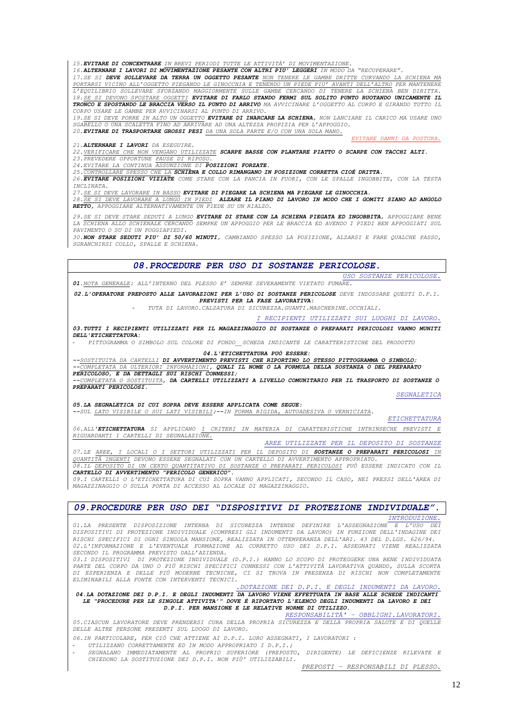*15.EVITARE DI CONCENTRARE IN BREVI PERIODI TUTTE LE ATTIVITÀ' DI MOVIMENTAZIONE.*

*16.ALTERNARE I LAVORI DI MOVIMENTAZIONE PESANTE CON ALTRI PIU' LEGGERI IN MODO DA "RECUPERARE".*

17. SE SI DEVE SOLLEVARE DA TERRA UN OGGETTO PESANTE NON TENERE LE GAMBE DRITTE CURVANDO LA SCHIENA MA *PORTARSI VICINO ALL'OGGETTO PIEGANDO LE GINOCCHIA E TENENDO UN PIEDE PIU' AVANTI DELL'ALTRO PER MANTENERE L'EQUILIBRIO SOLLEVARE SFORZANDO MAGGIORMENTE SULLE GAMBE CERCANDO DI TENERE LA SCHIENA BEN DIRITTA. 18.SE SI DEVONO SPOSTARE OGGETTI EVITARE DI FARLO STANDO FERMI SUL SOLITO PUNTO RUOTANDO UNICAMENTE IL* TRONCO E SPOSTANDO LE BRACCIA VERSO IL PUNTO DI ARRIVO MA AVVICINARE L'OGGETTO AL CORPO E GIRANDO TUTTO IL *CORPO USARE LE GAMBE PER AVVICINARSI AL PUNTO DI ARRIVO.*

19. SE SI DEVE PORRE IN ALTO UN OGGETTO EVITARE DI INARCARE LA SCHIENA, NON LANCIARE IL CARICO MA USARE UNO *SGABELLO O UNA SCALETTA FINO AD ARRIVARE AD UNA ALTEZZA PROPIZIA PER L'APPOGGIO. 20.EVITARE DI TRASPORTARE GROSSI PESI DA UNA SOLA PARTE E/O CON UNA SOLA MANO.*

*21.ALTERNARE I LAVORI DA ESEGUIRE.*

*22.VERIFICARE CHE NON VENGANO UTILIZZATE SCARPE BASSE CON PLANTARE PIATTO O SCARPE CON TACCHI ALTI.*

*23.PREVEDERE OPPORTUNE PAUSE DI RIPOSO. 24.EVITARE LA CONTINUA ASSUNZIONE DI POSIZIONI FORZATE.*

*25.CONTROLLARE SPESSO CHE LA SCHIENA E COLLO RIMANGANO IN POSIZIONE CORRETTA CIOÈ DRITTA.*

26. EVITARE POSIZIONI VIZIATE COME STARE CON LA PANCIA IN FUORI, CON LE SPALLE INGOBBITE, CON LA TESTA *INCLINATA.*

*27.SE SI DEVE LAVORARE IN BASSO EVITARE DI PIEGARE LA SCHIENA MA PIEGARE LE GINOCCHIA.*

28. SE SI DEVE LAVORARE A LUNGO IN PIEDI ALZARE IL PIANO DI LAVORO IN MODO CHE I GOMITI SIANO AD ANGOLO *RETTO, APPOGGIARE ALTERNATIVAMENTE UN PIEDE SU UN RIALZO.*

29. <u>SE SI DEVE STARE SEDUTI A LUNGO</u> **EVITARE DI STARE CON LA SCHIENA PIEGATA ED INGOBBITA,** APPOGGIARE BENE<br>LA SCHIENA ALLO SCHIENALE CERCANDO SEMPRE UN APPOGGIO PER LE BRACCIA ED AVENDO I PIEDI BEN APPOGGIATI SUI *PAVIMENTO O SU DI UN POGGIAPIEDI.*

30. NON STARE SEDUTI PIU' DI 50/60 MINUTI, CAMBIANDO SPESSO LA POSIZIONE, ALZARSI E FARE QUALCHE PASSO, *SGRANCHIRSI COLLO, SPALLE E SCHIENA.*

#### *08.PROCEDURE PER USO DI SOSTANZE PERICOLOSE.*

*USO SOSTANZE PERICOLOSE. 01.NOTA GENERALE: ALL'INTERNO DEL PLESSO E' SEMPRE SEVERAMENTE VIETATO FUMARE.*

*02.L'OPERATORE PREPOSTO ALLE LAVORAZIONI PER L'USO DI SOSTANZE PERICOLOSE DEVE INDOSSARE QUESTI D.P.I. PREVISTI PER LA FASE LAVORATIVA:*

- *TUTA DI LAVORO.CALZATURA DI SICUREZZA.GUANTI.MASCHERINE.OCCHIALI.*

*I RECIPIENTI UTILIZZATI SUI LUOGHI DI LAVORO.*

*03.TUTTI I RECIPIENTI UTILIZZATI PER IL MAGAZZINAGGIO DI SOSTANZE O PREPARATI PERICOLOSI VANNO MUNITI DELL'ETICHETTATURA:* 

- *PITTOGRAMMA O SIMBOLO SUL COLORE DI FONDO\_\_SCHEDA INDICANTE LE CARATTERISTICHE DEL PRODOTTO*

*04.L'ETICHETTATURA PUÒ ESSERE:*

*--SOSTITUITA DA CARTELLI DI AVVERTIMENTO PREVISTI CHE RIPORTINO LO STESSO PITTOGRAMMA O SIMBOLO; --COMPLETATA DA ULTERIORI INFORMAZIONI, QUALI IL NOME O LA FORMULA DELLA SOSTANZA O DEL PREPARATO* 

*PERICOLOSO, E DA DETTAGLI SUI RISCHI CONNESSI;*

*--COMPLETATA O SOSTITUITA, DA CARTELLI UTILIZZATI A LIVELLO COMUNITARIO PER IL TRASPORTO DI SOSTANZE O PREPARATI PERICOLOSI.*

*SEGNALETICA*

*ETICHETTATURA*

*EVITARE DANNI DA POSTURA.*

*05.LA SEGNALETICA DI CUI SOPRA DEVE ESSERE APPLICATA COME SEGUE:*

*--SUL LATO VISIBILE O SUI LATI VISIBILI;--IN FORMA RIGIDA, AUTOADESIVA O VERNICIATA.* 

*06.ALL'ETICHETTATURA SI APPLICANO I CRITERI IN MATERIA DI CARATTERISTICHE INTRINSECHE PREVISTI E RIGUARDANTI I CARTELLI DI SEGNALAZIONE.*

*AREE UTILIZZATE PER IL DEPOSITO DI SOSTANZE*

*07.LE AREE, I LOCALI O I SETTORI UTILIZZATI PER IL DEPOSITO DI SOSTANZE O PREPARATI PERICOLOSI IN QUANTITÀ INGENTI DEVONO ESSERE SEGNALATI CON UN CARTELLO DI AVVERTIMENTO APPROPRIATO. 08.IL DEPOSITO DI UN CERTO QUANTITATIVO DI SOSTANZE O PREPARATI PERICOLOSI PUÒ ESSERE INDICATO CON IL* 

*CARTELLO DI AVVERTIMENTO "PERICOLO GENERICO".*

*09.I CARTELLI O L'ETICHETTATURA DI CUI SOPRA VANNO APPLICATI, SECONDO IL CASO, NEI PRESSI DELL'AREA DI MAGAZZINAGGIO O SULLA PORTA DI ACCESSO AL LOCALE DI MAGAZZINAGGIO.*

### *09.PROCEDURE PER USO DEI "DISPOSITIVI DI PROTEZIONE INDIVIDUALE". INTRODUZIONE.*

*01.LA PRESENTE DISPOSIZIONE INTERNA DI SICUREZZA INTENDE DEFINIRE L'ASSEGNAZIONE E L'USO DEI DISPOSITIVI DI PROTEZIONE INDIVIDUALE (COMPRESI GLI INDUMENTI DA LAVORO) IN FUNZIONE DELL'INDAGINE DEI RISCHI SPECIFICI DI OGNI SINGOLA MANSIONE, REALIZZATA IN OTTEMPERANZA DELL'ARI. 43 DEL D.LGS. 626/94. 02.L'INFORMAZIONE E L'EVENTUALE FORMAZIONE AL CORRETTO USO DEI D.P.I. ASSEGNATI VIENE REALIZZATA SECONDO IL PROGRAMMA PREVISTO DALL'AZIENDA.*

*03.I DISPOSITIVI DI PROTEZIONE INDIVIDUALE (D.P.I.) HANNO LO SCOPO DI PROTEGGERE UNA BENE INDIVIDUATA PARTE DEL CORPO DA UNO O PIÙ RISCHI SPECIFICI CONNESSI CON L'ATTIVITÀ LAVORATIVA QUANDO, SULLA SCORTA DI ESPERIENZA E DELLE PIÙ MODERNE TECNICHE, CI SI TROVA IN PRESENZA DI RISCHI NON COMPLETAMENTE ELIMINABILI ALLA FONTE CON INTERVENTI TECNICI.*

*.DOTAZIONE DEI D.P.I. E DEGLI INDUMENTI DA LAVORO.* 

#### *04.LA DOTAZIONE DEI D.P.I. E DEGLI INDUMENTI DA LAVORO VIENE EFFETTUATA IN BASE ALLE SCHEDE INDICANTI LE "PROCEDURE PER LE SINGOLE ATTIVITA'" DOVE È RIPORTATO L'ELENCO DEGLI INDUMENTI DA LAVORO E DEI D.P.I. PER MANSIONE E LE RELATIVE NORME DI UTILIZZO.*

*RESPONSABILITÀ' – OBBLIGHI.LAVORATORI. 05.CIASCUN LAVORATORE DEVE PRENDERSI CURA DELLA PROPRIA SICUREZZA E DELLA PROPRIA SALUTE E DI QUELLE DELLE ALTRE PERSONE PRESENTI SUL LUOGO DI LAVORO.*

*06.IN PARTICOLARE, PER CIÒ CHE ATTIENE AI D.P.I. LORO ASSEGNATI, I LAVORATORI :*

- *UTILIZZANO CORRETTAMENTE ED IN MODO APPROPRIATO I D.P.I.;*

- *SEGNALANO IMMEDIATAMENTE AL PROPRIO SUPERIORE (PREPOSTO, DIRIGENTE) LE DEFICIENZE RILEVATE E CHIEDONO LA SOSTITUZIONE DEI D.P.I. NON PIÙ' UTILIZZABILI.*

*PREPOSTI – RESPONSABILI DI PLESSO.*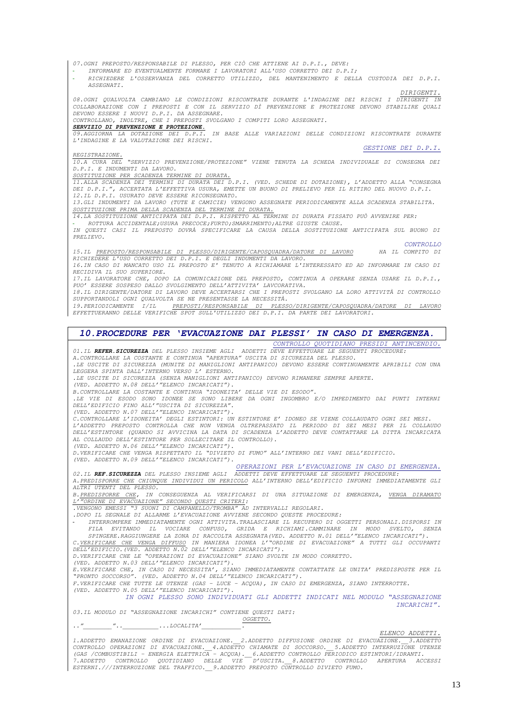*07.OGNI PREPOSTO/RESPONSABILE DI PLESSO, PER CIÒ CHE ATTIENE AI D.P.I., DEVE:*

- *INFORMARE ED EVENTUALMENTE FORMARE I LAVORATORI ALL'USO CORRETTO DEI D.P.I;*

- *RICHIEDERE L'OSSERVANZA DEL CORRETTO UTILIZZO, DEL MANTENIMENTO E DELLA CUSTODIA DEI D.P.I. ASSEGNATI.*

*DIRIGENTI.*

*08.OGNI QUALVOLTA CAMBIANO LE CONDIZIONI RISCONTRATE DURANTE L'INDAGINE DEI RISCHI I DIRIGENTI IN COLLABORAZIONE CON I PREPOSTI E CON IL SERVIZIO DÌ PREVENZIONE E PROTEZIONE DEVONO STABILIRE QUALI DEVONO ESSERE I NUOVI D.P.I. DA ASSEGNARE.*

*CONTROLLANO, INOLTRE, CHE I PREPOSTI SVOLGANO I COMPITI LORO ASSEGNATI.*

*SERVIZIO DI PREVENZIONE E PROTEZIONE. 09.AGGIORNA LA DOTAZIONE DEI D.P.I. IN BASE ALLE VARIAZIONI DELLE CONDIZIONI RISCONTRATE DURANTE L'INDAGINE E LA VALUTAZIONE DEI RISCHI.*

*GESTIONE DEI D.P.I.*

*REGISTRAZIONE. 10.A CURA DEL "SERVIZIO PREVENZIONE/PROTEZIONE" VIENE TENUTA LA SCHEDA INDIVIDUALE DI CONSEGNA DEI D.P.I. E INDUMENTI DA LAVORO.*

*SOSTITUZIONE PER SCADENZA TERMINE DI DURATA.*

*11.ALLA SCADENZA DEI TERMINI DI DURATA DEI D.P.I. (VED. SCHEDE DI DOTAZIONE), L'ADDETTO ALLA "CONSEGNA DEI D.P.I.", ACCERTATA L'EFFETTIVA USURA, EMETTE UN BUONO DI PRELIEVO PER IL RITIRO DEL NUOVO D.P.I. 12.IL D.P.I. USURATO DEVE ESSERE RICONSEGNATO.* 

*13.GLI INDUMENTI DA LAVORO (TUTE E CAMICIE) VENGONO ASSEGNATE PERIODICAMENTE ALLA SCADENZA STABILITA. SOSTITUZIONE PRIMA DELLA SCADENZA DEL TERMINE DI DURATA.*

*14.LA SOSTITUZIONE ANTICIPATA DEI D.P.I. RISPETTO AL TERMINE DI DURATA FISSATO PUÒ AVVENIRE PER:*

- *ROTTURA ACCIDENTALE;USURA PRECOCE;FURTO;SMARRIMENTO;ALTRE GIUSTE CAUSE. IN QUESTI CASI IL PREPOSTO DOVRÀ SPECIFICARE LA CAUSA DELLA SOSTITUZIONE ANTICIPATA SUL BUONO DI PRELIEVO.*

*CONTROLLO*<br>HA TL COMPITO DI *15.IL PREPOSTO/RESPONSABILE DI PLESSO/DIRIGENTE/CAPOSQUADRA/DATORE DI LAVORO HA IL COMPITO DI RICHIEDERE L'USO CORRETTO DEI D.P.I. E DEGLI INDUMENTI DA LAVORO.*

*16.IN CASO DI MANCATO USO IL PREPOSTO E' TENUTO A RICHIAMARE L'INTERESSATO ED AD INFORMARE IN CASO DI RECIDIVA IL SUO SUPERIORE.*

*17.IL LAVORATORE CHE, DOPO LA COMUNICAZIONE DEL PREPOSTO, CONTINUA A OPERARE SENZA USARE IL D.P.I., PUO' ESSERE SOSPESO DALLO SVOLGIMENTO DELL'ATTIVITA' LAVCORATIVA.*

*18.IL DIRIGENTE/DATORE DI LAVORO DEVE ACCERTARSI CHE I PREPOSTI SVOLGANO LA LORO ATTIVITÀ DI CONTROLLO SUPPORTANDOLI OGNI QUALVOLTA SE NE PRESENTASSE LA NECESSITÀ.*

*19.PERIODICAMENTE I/IL PREPOSTI/RESPONSABILE DI PLESSO/DIRIGENTE/CAPOSQUADRA/DATORE DI LAVORO EFFETTUERANNO DELLE VERIFICHE SPOT SULL'UTILIZZO DEI D.P.I. DA PARTE DEI LAVORATORI.*

## *10.PROCEDURE PER 'EVACUAZIONE DAI PLESSI' IN CASO DI EMERGENZA.*

*CONTROLLO QUOTIDIANO PRESIDI ANTINCENDIO. 01.IL REFER.SICUREZZA DEL PLESSO INSIEME AGLI ADDETTI DEVE EFFETTUARE LE SEGUENTI PROCEDURE:*

*A.CONTROLLARE LA COSTANTE E CONTINUA "APERTURA" USCITA DI SICUREZZA DEL PLESSO. .LE USCITE DI SICUREZZA (MUNITE DI MANIGLIONI ANTIPANICO) DEVONO ESSERE CONTINUAMENTE APRIBILI CON UNA LEGGERA SPINTA DALL'INTERNO VERSO L' ESTERNO. .LE USCITE DI SICUREZZA (SENZA MANIGLIONI ANTIPANICO) DEVONO RIMANERE SEMPRE APERTE. (VED. ADDETTO N.08 DELL'"ELENCO INCARICATI").*

*B.CONTROLLARE LA COSTANTE E CONTINUA "IDONEITA' DELLE VIE DI ESODO".*

*.LE VIE DI ESODO SONO IDONEE SE SONO LIBERE DA OGNI INGOMBRO E/O IMPEDIMENTO DAI PUNTI INTERNI DELL'EDIFICIO FINO ALL'"USCITA DI SICUREZZA".*

*(VED. ADDETTO N.07 DELL'"ELENCO INCARICATI").*

*C.CONTROLLARE L'IDONEITA' DEGLI ESTINTORI: UN ESTINTORE E' IDONEO SE VIENE COLLAUDATO OGNI SEI MESI. L'ADDETTO PREPOSTO CONTROLLA CHE NON VENGA OLTREPASSATO IL PERIODO DI SEI MESI PER IL COLLAUDO DELL'ESTINTORE (QUANDO SI AVVICINA LA DATA DI SCADENZA L'ADDETTO DEVE CONTATTARE LA DITTA INCARICATA AL COLLAUDO DELL'ESTINTORE PER SOLLECITARE IL CONTROLLO).*

*(VED. ADDETTO N.06 DELL'"ELENCO INCARICATI").*

*D.VERIFICARE CHE VENGA RISPETTATO IL "DIVIETO DI FUMO" ALL'INTERNO DEI VANI DELL'EDIFICIO. (VED. ADDETTO N.09 DELL'"ELENCO INCARICATI").*

*OPERAZIONI PER L'EVACUAZIONE IN CASO DI EMERGENZA.*

*02.IL REF.SICUREZZA DEL PLESSO INSIEME AGLI ADDETTI DEVE EFFETTUARE LE SEGUENTI PROCEDURE: A.PREDISPORRE CHE CHIUNQUE INDIVIDUI UN PERICOLO ALL'INTERNO DELL'EDIFICIO INFORMI IMMEDIATAMENTE GLI* 

*ALTRI UTENTI DEL PLESSO. B.PREDISPORRE CHE, IN CONSEGUENZA AL VERIFICARSI DI UNA SITUAZIONE DI EMERGENZA, VENGA DIRAMATO L'"ORDINE DI EVACUAZIONE" SECONDO QUESTI CRITERI: .VENGONO EMESSI "3 SUONI DI CAMPANELLO/TROMBA" AD INTERVALLI REGOLARI.*

*.DOPO IL SEGNALE DI ALLARME L'EVACUAZIONE AVVIENE SECONDO QUESTE PROCEDURE:*

- *INTERROMPERE IMMEDIATAMENTE OGNI ATTIVITA.TRALASCIARE IL RECUPERO DI OGGETTI PERSONALI.DISPORSI IN*  FILA EVITANDO IL VOCIARE CONFUSO, GRIDA E RICHIAMI.CAMMINARE IN MODO SVELTO, SENZA<br>SPINGERE.RAGGIUNGERE LA ZONA DI RACCOLTA ASSEGNATA(VED. ADDETTO N.01 DELL'"ELENCO INCARICATI").<br>C.VERIFICARE CHE VENGA DIFFUSO IN MANIERA I

*DELL'EDIFICIO.(VED. ADDETTO N.02 DELL'"ELENCO INCARICATI"). D.VERIFICARE CHE LE "OPERAZIONI DI EVACUAZIONE" SIANO SVOLTE IN MODO CORRETTO.*

*(VED. ADDETTO N.03 DELL'"ELENCO INCARICATI").*

*E.VERIFICARE CHE, IN CASO DI NECESSITA', SIANO IMMEDIATAMENTE CONTATTATE LE UNITA' PREDISPOSTE PER IL "PRONTO SOCCORSO". (VED. ADDETTO N.04 DELL'"ELENCO INCARICATI").*

*F.VERIFICARE CHE TUTTE LE UTENZE (GAS – LUCE – ACQUA), IN CASO DI EMERGENZA, SIANO INTERROTTE. (VED. ADDETTO N.05 DELL'"ELENCO INCARICATI").*

*IN OGNI PLESSO SONO INDIVIDUATI GLI ADDETTI INDICATI NEL MODULO "ASSEGNAZIONE INCARICHI".*

*03.IL MODULO DI "ASSEGNAZIONE INCARICHI" CONTIENE QUESTI DATI: OGGETTO.*

*.."\_\_\_\_\_\_\_\_"..\_\_\_\_\_\_\_\_\_\_...LOCALITA'\_\_\_\_\_\_\_\_\_\_\_.*

*ELENCO ADDETTI.*

1.ADDETTO EMANAZIONE ORDINE DI EVACUAZIONE.\_\_2.ADDETTO DIFFUSIONE ORDINE DI EVACUAZIONE.\_\_3.ADDETTO<br>(GAS /COMBUSTIBILI - ENERGIA ELETTRICA - ADDETTO CHIAMATE DI SOCCORSO.\_\_5.ADDETTO INTERRUZIONE UTENZE<br>(GAS /COMBUSTIBILI -*ESTERNI.///INTERRUZIONE DEL TRAFFICO.\_\_9.ADDETTO PREPOSTO CONTROLLO DIVIETO FUMO.*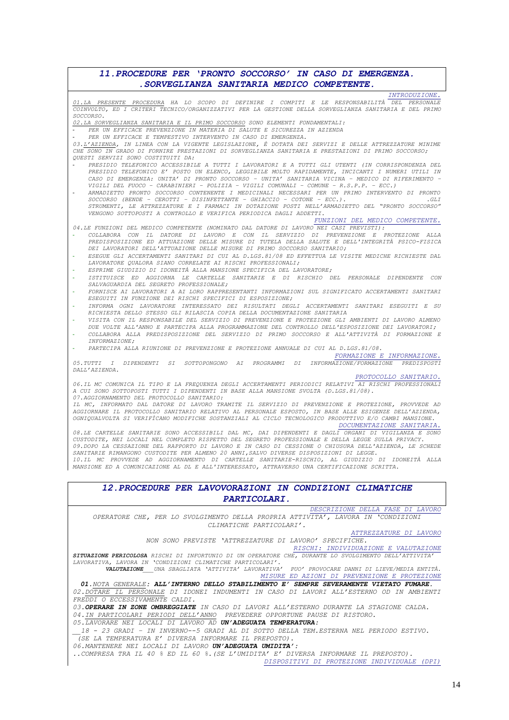## 11. PROCEDURE PER 'PRONTO SOCCORSO' IN CASO DI EMERGENZA. . SORVEGLIANZA SANITARIA MEDICO COMPETENTE.

| INTRODUZIONE.<br>01.LA PRESENTE PROCEDURA HA LO SCOPO DI DEFINIRE I COMPITI E LE RESPONSABILITÀ DEL PERSONALE<br>COINVOLTO, ED I CRITERI TECNICO/ORGANIZZATIVI PER LA GESTIONE DELLA SORVEGLIANZA SANITARIA E DEL PRIMO<br>SOCCORSO.                                                                                                                                                                                                                                                                             |
|------------------------------------------------------------------------------------------------------------------------------------------------------------------------------------------------------------------------------------------------------------------------------------------------------------------------------------------------------------------------------------------------------------------------------------------------------------------------------------------------------------------|
| 02.LA SORVEGLIANZA SANITARIA E IL PRIMO SOCCORSO SONO ELEMENTI FONDAMENTALI:                                                                                                                                                                                                                                                                                                                                                                                                                                     |
| PER UN EFFICACE PREVENZIONE IN MATERIA DI SALUTE E SICUREZZA IN AZIENDA                                                                                                                                                                                                                                                                                                                                                                                                                                          |
| PER UN EFFICACE E TEMPESTIVO INTERVENTO IN CASO DI EMERGENZA.<br>03.L'AZIENDA, IN LINEA CON LA VIGENTE LEGISLAZIONE, È DOTATA DEI SERVIZI E DELLE ATTREZZATURE MINIME                                                                                                                                                                                                                                                                                                                                            |
| CHE SONO IN GRADO DI FORNIRE PRESTAZIONI DI SORVEGLIANZA SANITARIA E PRESTAZIONI DI PRIMO SOCCORSO;<br>QUESTI SERVIZI SONO COSTITUITI DA:                                                                                                                                                                                                                                                                                                                                                                        |
| PRESIDIO TELEFONICO ACCESSIBILE A TUTTI I LAVORATORI E A TUTTI GLI UTENTI (IN CORRISPONDENZA DEL<br>PRESIDIO TELEFONICO E' POSTO UN ELENCO, LEGGIBILE MOLTO RAPIDAMENTE, INCICANTI I NUMERI UTILI IN<br>CASO DI EMERGENZA: UNITA' DI PRONTO SOCCORSO - UNITA' SANITARIA VICINA - MEDICO DI RIFERIMENTO -<br>VIGILI DEL FUOCO - CARABINIERI - POLIZIA - VIGILI COMUNALI - COMUNE - R.S.P.P. - ECC.)                                                                                                               |
| ARMADIETTO PRONTO SOCCORSO CONTENENTE I MEDICINALI NECESSARI PER UN PRIMO INTERVENTO DI PRONTO<br>SOCCORSO (BENDE - CEROTTI - DISINFETTANTE - GHIACCIO - COTONE - ECC.).<br>.GLI<br>STRUMENTI, LE ATTREZZATURE E I FARMACI IN DOTAZIONE POSTI NELL'ARMADIETTO DEL "PRONTO SOCCORSO"                                                                                                                                                                                                                              |
| VENGONO SOTTOPOSTI A CONTROLLO E VERIFICA PERIODICA DAGLI ADDETTI.                                                                                                                                                                                                                                                                                                                                                                                                                                               |
| FUNZIONI DEL MEDICO COMPETENTE.<br>04.LE FUNZIONI DEL MEDICO COMPETENTE (NOMINATO DAL DATORE DI LAVORO NEI CASI PREVISTI):                                                                                                                                                                                                                                                                                                                                                                                       |
| COLLABORA CON IL DATORE DI LAVORO E CON IL SERVIZIO DI PREVENZIONE E PROTEZIONE ALLA<br>PREDISPOSIZIONE ED ATTUAZIONE DELLE MISURE DI TUTELA DELLA SALUTE E DELL'INTEGRITÀ PSICO-FISICA                                                                                                                                                                                                                                                                                                                          |
| DEI LAVORATORI DELL'ATTUAZIONE DELLE MISURE DI PRIMO SOCCORSO SANITARIO;<br>ESEGUE GLI ACCERTAMENTI SANITARI DI CUI AL D.LGS.81/08 ED EFFETTUA LE VISITE MEDICHE RICHIESTE DAL                                                                                                                                                                                                                                                                                                                                   |
| LAVORATORE QUALORA SIANO CORRELATE AI RISCHI PROFESSIONALI;<br>ESPRIME GIUDIZIO DI IDONEITÀ ALLA MANSIONE SPECIFICA DEL LAVORATORE;                                                                                                                                                                                                                                                                                                                                                                              |
| ISTITUISCE ED AGGIORNA LE CARTELLE SANITARIE E DI RISCHIO DEL PERSONALE DIPENDENTE CON<br>SALVAGUARDIA DEL SEGRETO PROFESSIONALE;                                                                                                                                                                                                                                                                                                                                                                                |
| FORNISCE AI LAVORATORI A AI LORO RAPPRESENTANTI INFORMAZIONI SUL SIGNIFICATO ACCERTAMENTI SANITARI<br>ESEGUITI IN FUNZIONE DEI RISCHI SPECIFICI DI ESPOSIZIONE;                                                                                                                                                                                                                                                                                                                                                  |
| INFORMA OGNI LAVORATORE INTERESSATO DEI RISULTATI DEGLI ACCERTAMENTI SANITARI ESEGUITI E SU<br>RICHIESTA DELLO STESSO GLI RILASCIA COPIA DELLA DOCUMENTAZIONE SANITARIA                                                                                                                                                                                                                                                                                                                                          |
| VISITA CON IL RESPONSABILE DEL SERVIZIO DI PREVENZIONE E PROTEZIONE GLI AMBIENTI DI LAVORO ALMENO<br>DUE VOLTE ALL'ANNO E PARTECIPA ALLA PROGRAMMAZIONE DEL CONTROLLO DELL'ESPOSIZIONE DEI LAVORATORI;<br>COLLABORA ALLA PREDISPOSIZIONE DEL SERVIZIO DI PRIMO SOCCORSO E ALL'ATTIVITÀ DI FORMAZIONE E                                                                                                                                                                                                           |
| INFORMAZIONE;<br>PARTECIPA ALLA RIUNIONE DI PREVENZIONE E PROTEZIONE ANNUALE DI CUI AL D.LGS.81/08.                                                                                                                                                                                                                                                                                                                                                                                                              |
| FORMAZIONE E INFORMAZIONE.<br>05. TUTTI I DIPENDENTI SI SOTTOPONGONO AI PROGRAMMI DI INFORMAZIONE/FORMAZIONE PREDISPOSTI<br>DALL'AZIENDA.                                                                                                                                                                                                                                                                                                                                                                        |
| PROTOCOLLO SANITARIO.                                                                                                                                                                                                                                                                                                                                                                                                                                                                                            |
| 06.IL MC COMUNICA IL TIPO E LA FREQUENZA DEGLI ACCERTAMENTI PERIODICI RELATIVI AI RISCHI PROFESSIONALI<br>A CUI SONO SOTTOPOSTI TUTTI I DIPENDENTI IN BASE ALLA MANSIONE SVOLTA (D.LGS.81/08).<br>07.AGGIORNAMENTO DEL PROTOCOLLO SANITARIO:<br>IL MC, INFORMATO DAL DATORE DI LAVORO TRAMITE IL SERVIZIO DI PREVENZIONE E PROTEZIONE, PROVVEDE AD                                                                                                                                                               |
| AGGIORNARE IL PROTOCOLLO SANITARIO RELATIVO AL PERSONALE ESPOSTO, IN BASE ALLE ESIGENZE DELL'AZIENDA,<br>OGNIQUALVOLTA SI VERIFÌCANO MODIFICHE SOSTANZIALI AL CICLO TECNOLOGICO PRODUTTIVO E/O CAMBI MANSIONE.<br>DOCUMENTAZIONE SANITARIA.                                                                                                                                                                                                                                                                      |
| 08. LE CARTELLE SANITARIE SONO ACCESSIBILI DAL MC, DAI DIPENDENTI E DAGLI ORGANI DI VIGILANZA E SONO<br>CUSTODITE, NEI LOCALI NEL COMPLETO RISPETTO DEL SEGRETO PROFESSIONALE E DELLA LEGGE SULLA PRIVACY.<br>09. DOPO LA CESSAZIONE DEL RAPPORTO DI LAVORO E IN CASO DI CESSIONE O CHIUSURA DELL'AZIENDA, LE SCHEDE<br>SANITARIE RIMANGONO CUSTODITE PER ALMENO 20 ANNI, SALVO DIVERSE DISPOSIZIONI DI LEGGE.<br>10.IL MC PROVVEDE AD AGGIORNAMENTO DI CARTELLE SANITARIE-RISCHIO, AL GIUDIZIO DI IDONEITÀ ALLA |
| MANSIONE ED A COMUNICAZIONE AL DL E ALL'INTERESSATO, ATTRAVERSO UNA CERTIFICAZIONE SCRITTA.                                                                                                                                                                                                                                                                                                                                                                                                                      |
| <i>12. PROCEDURE PER LAVOVORAZIONI IN CONDIZIONI CLIMATICHE</i>                                                                                                                                                                                                                                                                                                                                                                                                                                                  |
| PARTICOLARI.                                                                                                                                                                                                                                                                                                                                                                                                                                                                                                     |
| DESCRIZIONE DELLA FASE DI LAVORO<br>OPERATORE CHE, PER LO SVOLGIMENTO DELLA PROPRIA ATTIVITA', LAVORA IN 'CONDIZIONI<br>CLIMATICHE PARTICOLARI'.                                                                                                                                                                                                                                                                                                                                                                 |
| ATTREZZATURE DI LAVORO                                                                                                                                                                                                                                                                                                                                                                                                                                                                                           |
| NON SONO PREVISTE 'ATTREZZATURE DI LAVORO' SPECIFICHE.<br>RISCHI: INDIVIDUAZIONE E VALUTAZIONE                                                                                                                                                                                                                                                                                                                                                                                                                   |
| SITUAZIONE PERICOLOSA RISCHI DI INFORTUNIO DI UN OPERATORE CHE, DURANTE LO SVOLGIMENTO DELL'ATTIVITA'<br>LAVORATIVA, LAVORA IN 'CONDIZIONI CLIMATICHE PARTICOLARI'.<br>VALUTAZIONE UNA SBAGLIATA 'ATTIVITA' LAVORATIVA' PUO' PROVOCARE DANNI DI LIEVE/MEDIA ENTITÀ.                                                                                                                                                                                                                                              |
| MISURE ED AZIONI DI PREVENZIONE E PROTEZIONE                                                                                                                                                                                                                                                                                                                                                                                                                                                                     |
| 01. NOTA GENERALE: ALL'INTERNO DELLO STABILIMENTO E' SEMPRE SEVERAMENTE VIETATO FUMARE.<br>02. DOTARE IL PERSONALE DI IDONEI INDUMENTI IN CASO DI LAVORI ALL'ESTERNO OD IN AMBIENTI                                                                                                                                                                                                                                                                                                                              |
| FREDDI O ECCESSIVAMENTE CALDI.                                                                                                                                                                                                                                                                                                                                                                                                                                                                                   |
| 03.OPERARE IN ZONE OMBREGGIATE IN CASO DI LAVORI ALL'ESTERNO DURANTE LA STAGIONE CALDA.<br>04. IN PARTICOLARI PERIODI DELL'ANNO PREVEDERE OPPORTUNE PAUSE DI RISTORO.                                                                                                                                                                                                                                                                                                                                            |
| 05. LAVORARE NEI LOCALI DI LAVORO AD UN'ADEGUATA TEMPERATURA:                                                                                                                                                                                                                                                                                                                                                                                                                                                    |
| 18 - 23 GRADI - IN INVERNO--5 GRADI AL DI SOTTO DELLA TEM.ESTERNA NEL PERIODO ESTIVO.                                                                                                                                                                                                                                                                                                                                                                                                                            |
| (SE LA TEMPERATURA E' DIVERSA INFORMARE IL PREPOSTO).<br>06. MANTENERE NEI LOCALI DI LAVORO UN'ADEGUATA UMIDITA':                                                                                                                                                                                                                                                                                                                                                                                                |
| COMPRESA TRA IL 40 % ED IL 60 %. (SE L'UMIDITA' E' DIVERSA INFORMARE IL PREPOSTO).                                                                                                                                                                                                                                                                                                                                                                                                                               |
| DISPOSITIVI DI PROTEZIONE INDIVIDUALE (DPI)                                                                                                                                                                                                                                                                                                                                                                                                                                                                      |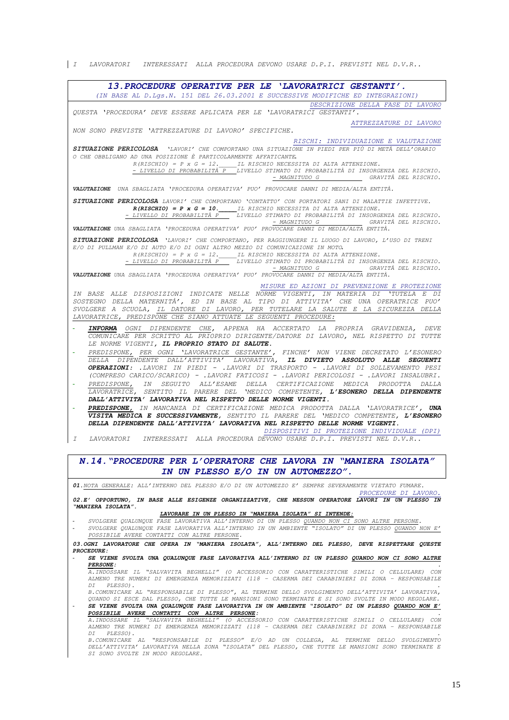| I LAVORATORI INTERESSATI ALLA PROCEDURA DEVONO USARE D.P.I. PREVISTI NEL D.V.R..

| 13. PROCEDURE OPERATIVE PER LE 'LAVORATRICI GESTANTI'.                                                                                                                                                                                                                                                                                                                                                                                                                                                                                                                                                                                                                                                                                                                                                                                                                                                                                                                                                                                                                                                                                   |
|------------------------------------------------------------------------------------------------------------------------------------------------------------------------------------------------------------------------------------------------------------------------------------------------------------------------------------------------------------------------------------------------------------------------------------------------------------------------------------------------------------------------------------------------------------------------------------------------------------------------------------------------------------------------------------------------------------------------------------------------------------------------------------------------------------------------------------------------------------------------------------------------------------------------------------------------------------------------------------------------------------------------------------------------------------------------------------------------------------------------------------------|
| (IN BASE AL D.LGS.N. 151 DEL 26.03.2001 E SUCCESSIVE MODIFICHE ED INTEGRAZIONI)                                                                                                                                                                                                                                                                                                                                                                                                                                                                                                                                                                                                                                                                                                                                                                                                                                                                                                                                                                                                                                                          |
| DESCRIZIONE DELLA FASE DI LAVORO<br>OUESTA 'PROCEDURA' DEVE ESSERE APLICATA PER LE 'LAVORATRICI GESTANTI'.                                                                                                                                                                                                                                                                                                                                                                                                                                                                                                                                                                                                                                                                                                                                                                                                                                                                                                                                                                                                                               |
| ATTREZZATURE DI LAVORO<br>NON SONO PREVISTE 'ATTREZZATURE DI LAVORO' SPECIFICHE.                                                                                                                                                                                                                                                                                                                                                                                                                                                                                                                                                                                                                                                                                                                                                                                                                                                                                                                                                                                                                                                         |
| RISCHI: INDIVIDUAZIONE E VALUTAZIONE<br>SITUAZIONE PERICOLOSA VLAVORI' CHE COMPORTANO UNA SITUAZIONE IN PIEDI PER PIÙ DI METÀ DELL'ORARIO<br>O CHE OBBLIGANO AD UNA POSIZIONE È PARTICOLARMENTE AFFATICANTE.<br>$R(RISCHIO) = P \times G = 12.$ IL RISCHIO NECESSITA DI ALTA ATTENZIONE.<br>- LIVELLO DI PROBABILITÀ P - LIVELLO STIMATO DI PROBABILITÀ DI INSORGENZA DEL RISCHIO.<br>- MAGNITUDO G GRAVITÀ DEL RISCHIO.                                                                                                                                                                                                                                                                                                                                                                                                                                                                                                                                                                                                                                                                                                                 |
| VALUTAZIONE UNA SBAGLIATA 'PROCEDURA OPERATIVA' PUO' PROVOCARE DANNI DI MEDIA/ALTA ENTITÀ.                                                                                                                                                                                                                                                                                                                                                                                                                                                                                                                                                                                                                                                                                                                                                                                                                                                                                                                                                                                                                                               |
| SITUAZIONE PERICOLOSA LAVORI' CHE COMPORTANO 'CONTATTO' CON PORTATORI SANI DI MALATTIE INFETTIVE.<br>$R(RISCHIO) = P \times G = 10$ . IL RISCHIO NECESSITA DI ALTA ATTENZIONE.<br>$-$ LIVELLO DI PROBABILITÀ P $-$ LIVELLO STIMATO DI PROBABILITÀ DI INSORGENZA DEL RISCHIO.<br>- MAGNITUDO G<br>GRAVITÀ DEL RISCHIO.<br>VALUTAZIONE UNA SBAGLIATA 'PROCEDURA OPERATIVA' PUO' PROVOCARE DANNI DI MEDIA/ALTA ENTITÀ.                                                                                                                                                                                                                                                                                                                                                                                                                                                                                                                                                                                                                                                                                                                      |
| SITUAZIONE PERICOLOSA 'LAVORI' CHE COMPORTANO, PER RAGGIUNGERE IL LUOGO DI LAVORO, L'USO DI TRENI<br>E/O DI PULLMAN E/O DI AUTO E/O DI OGNI ALTRO MEZZO DI COMUNICAZIONE IN MOTO.<br>$R(RISCHIO) = P X G = 12. \underline{\hspace{2cm}}$ IL RISCHIO NECESSITA DI ALTA ATTENZIONE.<br>- LIVELLO DI PROBABILITÀ P LIVELLO STIMATO DI PROBABILITÀ DI INSORGENZA DEL RISCHIO.<br>- MAGNITUDO G GRAVITÀ DEL RISCHIO.<br>VALUTAZIONE UNA SBAGLIATA 'PROCEDURA OPERATIVA' PUO' PROVOCARE DANNI DI MEDIA/ALTA ENTITÀ.                                                                                                                                                                                                                                                                                                                                                                                                                                                                                                                                                                                                                            |
| MISURE ED AZIONI DI PREVENZIONE E PROTEZIONE<br>IN BASE ALLE DISPOSIZIONI INDICATE NELLE NORME VIGENTI, IN MATERIA DI 'TUTELA E DI<br>SOSTEGNO DELLA MATERNITÀ', ED IN BASE AL TIPO DI ATTIVITA' CHE UNA OPERATRICE PUO'<br>SVOLGERE A SCUOLA, IL DATORE DI LAVORO, PER TUTELARE LA SALUTE E LA SICUREZZA DELLA<br>LAVORATRICE, PREDISPONE CHE SIANO ATTUATE LE SEGUENTI PROCEDURE:                                                                                                                                                                                                                                                                                                                                                                                                                                                                                                                                                                                                                                                                                                                                                      |
| COMUNICARE PER SCRITTO AL PRIOPRIO DIRIGENTE/DATORE DI LAVORO, NEL RISPETTO DI TUTTE<br>LE NORME VIGENTI, IL PROPRIO STATO DI SALUTE.<br>PREDISPONE, PER OGNI 'LAVORATRICE GESTANTE', FINCHE' NON VIENE DECRETATO L'ESONERO<br>DELLA DIPENDENTE DALL'ATTIVITA' LAVORATIVA, IL DIVIETO ASSOLUTO ALLE SEGUENTI<br><b>OPERAZIONI:</b> .LAVORI IN PIEDI - .LAVORI DI TRASPORTO - .LAVORI DI SOLLEVAMENTO PESI<br>(COMPRESO CARICO/SCARICO) - .LAVORI FATICOSI - .LAVORI PERICOLOSI - .LAVORI INSALUBRI.<br>PREDISPONE, IN SEGUITO ALL'ESAME DELLA CERTIFICAZIONE MEDICA PRODOTTA DALLA<br>LAVORATRICE, SENTITO IL PARERE DEL 'MEDICO COMPETENTE, L'ESONERO DELLA DIPENDENTE<br>DALL'ATTIVITA' LAVORATIVA NEL RISPETTO DELLE NORME VIGENTI.<br>PREDISPONE, IN MANCANZA DI CERTIFICAZIONE MEDICA PRODOTTA DALLA 'LAVORATRICE', UNA<br>VISITA MEDICA E SUCCESSIVAMENTE, SENTITO IL PARERE DEL 'MEDICO COMPETENTE, L'ESONERO<br>DELLA DIPENDENTE DALL'ATTIVITA' LAVORATIVA NEL RISPETTO DELLE NORME VIGENTI.<br>DISPOSITIVI DI PROTEZIONE INDIVIDUALE (DPI)<br>LAVORATORI UNTERESSATI ALLA PROCEDURA DEVONO USARE D.P.I. PREVISTI NEL D.V.R<br>I |
| N.14. "PROCEDURE PER L'OPERATORE CHE LAVORA IN "MANIERA ISOLATA"                                                                                                                                                                                                                                                                                                                                                                                                                                                                                                                                                                                                                                                                                                                                                                                                                                                                                                                                                                                                                                                                         |
| IN UN PLESSO E/O IN UN AUTOMEZZO".                                                                                                                                                                                                                                                                                                                                                                                                                                                                                                                                                                                                                                                                                                                                                                                                                                                                                                                                                                                                                                                                                                       |
| 01. NOTA GENERALE: ALL'INTERNO DEL PLESSO E/O DI UN AUTOMEZZO E' SEMPRE SEVERAMENTE VIETATO FUMARE.<br>PROCEDURE DI LAVORO.<br>02.E' OPPORTUNO, IN BASE ALLE ESIGENZE ORGANIZZATIVE, CHE NESSUN OPERATORE LAVORI IN UN PLESSO IN<br>"MANIERA ISOLATA".                                                                                                                                                                                                                                                                                                                                                                                                                                                                                                                                                                                                                                                                                                                                                                                                                                                                                   |
| LAVORARE IN UN PLESSO IN "MANIERA ISOLATA" SI INTENDE:<br>SVOLGERE QUALUNQUE FASE LAVORATIVA ALL'INTERNO DI UN PLESSO QUANDO NON CI SONO ALTRE PERSONE.<br>SVOLGERE QUALUNQUE FASE LAVORATIVA ALL'INTERNO IN UN AMBIENTE "ISOLATO" DI UN PLESSO QUANDO NON E'<br>POSSIBILE AVERE CONTATTI CON ALTRE PERSONE.<br>03. OGNI LAVORATORE CHE OPERA IN "MANIERA ISOLATA", ALL'INTERNO DEL PLESSO, DEVE RISPETTARE QUESTE                                                                                                                                                                                                                                                                                                                                                                                                                                                                                                                                                                                                                                                                                                                       |
| PROCEDURE:                                                                                                                                                                                                                                                                                                                                                                                                                                                                                                                                                                                                                                                                                                                                                                                                                                                                                                                                                                                                                                                                                                                               |
| SE VIENE SVOLTA UNA QUALUNQUE FASE LAVORATIVA ALL'INTERNO DI UN PLESSO QUANDO NON CI SONO ALTRE<br><b>PERSONE :</b><br>A. INDOSSARE IL "SALVAVITA BEGHELLI" (O ACCESSORIO CON CARATTERISTICHE SIMILI O CELLULARE) CON                                                                                                                                                                                                                                                                                                                                                                                                                                                                                                                                                                                                                                                                                                                                                                                                                                                                                                                    |
| ALMENO TRE NUMERI DI EMERGENZA MEMORIZZATI (118 - CASERMA DEI CARABINIERI DI ZONA - RESPONSABILE<br>PLESSO).<br>DI<br>B. COMUNICARE AL "RESPONSABILE DI PLESSO", AL TERMINE DELLO SVOLGIMENTO DELL'ATTIVITA' LAVORATIVA,<br>QUANDO SI ESCE DAL PLESSO, CHE TUTTE LE MANSIONI SONO TERMINATE E SI SONO SVOLTE IN MODO REGOLARE.                                                                                                                                                                                                                                                                                                                                                                                                                                                                                                                                                                                                                                                                                                                                                                                                           |
| SE VIENE SVOLTA UNA QUALUNQUE FASE LAVORATIVA IN UN AMBIENTE "ISOLATO" DI UN PLESSO QUANDO NON E'<br>POSSIBILE AVERE CONTATTI CON ALTRE PERSONE:<br>A. INDOSSARE IL "SALVAVITA BEGHELLI" (O ACCESSORIO CON CARATTERISTICHE SIMILI O CELLULARE) CON                                                                                                                                                                                                                                                                                                                                                                                                                                                                                                                                                                                                                                                                                                                                                                                                                                                                                       |
| ALMENO TRE NUMERI DI EMERGENZA MEMORIZZATI (118 - CASERMA DEI CARABINIERI DI ZONA - RESPONSABILE<br>DI PLESSO).                                                                                                                                                                                                                                                                                                                                                                                                                                                                                                                                                                                                                                                                                                                                                                                                                                                                                                                                                                                                                          |

DI FLESSO).<br>B.COMUNICARE AL "RESPONSABILE DI PLESSO" E/O AD UN COLLEGA, AL TERMINE DELLO SVOLGIMENTO<br>DELL'ATTIVITA' LAVORATIVA NELLA ZONA "ISOLATA" DEL PLESSO, CHE TUTTE LE MANSIONI SONO TERMINATE E<br>SI SONO SVOLTE IN MODO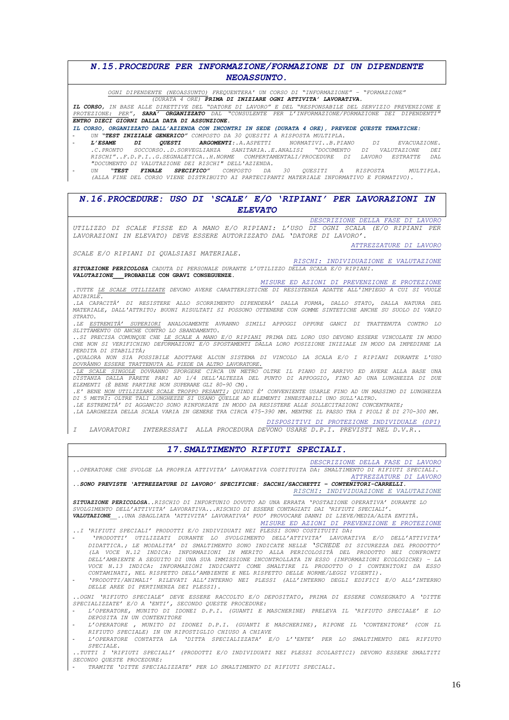### *N.15.PROCEDURE PER INFORMAZIONE/FORMAZIONE DI UN DIPENDENTE NEOASSUNTO.*

*OGNI DIPENDENTE (NEOASSUNTO) FREQUENTERA' UN CORSO DI "INFORMAZIONE" – "FORMAZIONE"*

*(DURATA 4 ORE) PRIMA DI INIZIARE OGNI ATTIVITA' LAVORATIVA.*

IL CORSO, IN BASE ALLE <u>DIRETTIVE DEL "DATORE DI LAVORO" E DEL "RESPONSABILE DEL SERVIZIO PREVENZIONE E</u><br>PROTEZIONE: PER", SARA' ORGANIZZATO DAL "CONSULENTE PER L'INFORMAZIONE/FORMAZIONE DEI DIPENDENTI" *ENTRO DIECI GIORNI DALLA DATA DI ASSUNZIONE.*

*IL CORSO, ORGANIZZATO DALL'AZIENDA CON INCONTRI IN SEDE (DURATA 4 ORE), PREVEDE QUESTE TEMATICHE:*

- *UN "TEST INIZIALE GENERICO" COMPOSTO DA 30 QUESITI A RISPOSTA MULTIPLA.*  **- L'ESAME DI QUESTI ARGOMENTI:**.A.ASPETTI NORMATIVI..B.PIANO DI EVACUAZIONE.<br>C.PRONTO SOCCORSO..D.SORVEGLIANZA SANITARIA..E.ANALISI "DOCUMENTO DI VALUTAZIONE DEI.<br>RISCHI"..F.D.P.I..G.SEGNALETICA..H.NORME COMPERTAMENTALI/P *"DOCUMENTO DI VALUTAZIONE DEI RISCHI" DELL'AZIENDA.*
	- *UN "TEST FINALE SPECIFICO" COMPOSTO DA 30 QUESITI A RISPOSTA MULTIPLA. (ALLA FINE DEL CORSO VIENE DISTRIBUITO AI PARTECIPANTI MATERIALE INFORMATIVO E FORMATIVO).*

*N.16.PROCEDURE: USO DI 'SCALE' E/O 'RIPIANI' PER LAVORAZIONI IN ELEVATO*

*DESCRIZIONE DELLA FASE DI LAVORO UTILIZZO DI SCALE FISSE ED A MANO E/O RIPIANI: L'USO DI OGNI SCALA (E/O RIPIANI PER LAVORAZIONI IN ELEVATO) DEVE ESSERE AUTORIZZATO DAL 'DATORE DI LAVORO'.*

*SCALE E/O RIPIANI DI QUALSIASI MATERIALE.*

*ATTREZZATURE DI LAVORO*

*RISCHI: INDIVIDUAZIONE E VALUTAZIONE SITUAZIONE PERICOLOSA CADUTA DI PERSONALE DURANTE L'UTILIZZO DELLA SCALA E/O RIPIANI. VALUTAZIONE\_\_\_***PROBABILE CON GRAVI CONSEGUENZE.**

*MISURE ED AZIONI DI PREVENZIONE E PROTEZIONE .TUTTE LE SCALE UTILIZZATE DEVONO AVERE CARATTERISTICHE DI RESISTENZA ADATTE ALL'IMPIEGO A CUI SI VUOLE ADIBIRLE.* 

*.LA CAPACITÀ' DI RESISTERE ALLO SCORRIMENTO DIPENDERÀ' DALLA FORMA, DALLO STATO, DALLA NATURA DEL MATERIALE, DALL'ATTRITO; BUONI RISULTATI SI POSSONO OTTENERE CON GOMME SINTETICHE ANCHE SU SUOLO DI VARIO STRATO.*

*.LE ESTREMITÀ' SUPERIORI ANALOGAMENTE AVRANNO SIMILI APPOGGI OPPURE GANCI DI TRATTENUTA CONTRO LO SLITTAMENTO OD ANCHE CONTRO LO SBANDAMENTO.* 

*..SI PRECISA COMUNQUE CHE LE SCALE A MANO E/O RIPIANI PRIMA DEL LORO USO DEVONO ESSERE VINCOLATE IN MODO CHE NON SI VERIFICHINO DEFORMAZIONI E/O SPOSTAMENTI DALLA LORO POSIZIONE INIZIALE IN MODO DA IMPEDIRNE LA PERDITA DI STABILITÀ;* 

*.QUALORA NON SIA POSSIBILE ADOTTARE ALCUN SISTEMA DI VINCOLO LA SCALA E/O I RIPIANI DURANTE L'USO DOVRÀNNO ESSERE TRATTENUTA AL PIEDE DA ALTRO LAVORATORE.*

.LE SCALE SINGOLE DOVRANNO SPORGERE CIRCA UN METRO OLTRE IL PIANO DI ARRIVO ED AVERE ALLA BASE UNA<br>DISTANZA DALLA PARETE PARI AD 1/4 DELL'ALTEZZA DEL PUNTO DI APPOGGIO, FINO AD UNA LUNGHEZZA DI DUE *ELEMENTI (È BENE PARTIRE NON SUPERARE GLI 80-90 CM).*

*.E' BENE NON UTILIZZARE SCALE TROPPO PESANTI; QUINDI È' CONVENIENTE USARLE FINO AD UN MASSIMO DI LUNGHEZZA DI 5 METRI: OLTRE TALI LUNGHEZZE SI USANO QUELLE AD ELEMENTI INNESTABILI UNO SULL'ALTRO.* 

*.LE ESTREMITÀ' DI AGGANCIO SONO RINFORZATE IN MODO DA RESISTERE ALLE SOLLECITAZIONI CONCENTRATE;* 

*.LA LARGHEZZA DELLA SCALA VARIA IN GENERE TRA CIRCA 475-390 MM. MENTRE IL PASSO TRA I PIOLI È DI 270-300 MM.*

*DISPOSITIVI DI PROTEZIONE INDIVIDUALE (DPI)*

*I LAVORATORI INTERESSATI ALLA PROCEDURA DEVONO USARE D.P.I. PREVISTI NEL D.V.R..*

#### *17.SMALTIMENTO RIFIUTI SPECIALI.*

*DESCRIZIONE DELLA FASE DI LAVORO*

*..OPERATORE CHE SVOLGE LA PROPRIA ATTIVITA' LAVORATIVA COSTITUITA DA: SMALTIMENTO DI RIFIUTI SPECIALI. ATTREZZATURE DI LAVORO*

*..SONO PREVISTE 'ATTREZZATURE DI LAVORO' SPECIFICHE: SACCHI/SACCHETTI – CONTENITORI-CARRELLI. RISCHI: INDIVIDUAZIONE E VALUTAZIONE*

*SITUAZIONE PERICOLOSA..RISCHIO DI INFORTUNIO DOVUTO AD UNA ERRATA 'POSTAZIONE OPERATIVA' DURANTE LO SVOLGIMENTO DELL'ATTIVITA' LAVORATIVA...RISCHIO DI ESSERE CONTAGIATI DAI 'RIFIUTI SPECIALI'. VALUTAZIONE\_\_..UNA SBAGLIATA 'ATTIVITA' LAVORATIVA' PUO' PROVOCARE DANNI DI LIEVE/MEDIA/ALTA ENTITÀ.*

*MISURE ED AZIONI DI PREVENZIONE E PROTEZIONE ..I 'RIFIUTI SPECIALI' PRODOTTI E/O INDIVIDUATI NEI PLESSI SONO COSTITUITI DA:*

- *'PRODOTTI' UTILIZZATI DURANTE LO SVOLGIMENTO DELL'ATTIVITA' LAVORATIVA E/O DELL'ATTIVITA' DIDATTICA.; LE MODALITA' DI SMALTIMENTO SONO INDICATE NELLE 'SCHEDE DI SICUREZZA DEL PRODOTTO' (LA VOCE N.12 INDICA: INFORMAZIONI IN MERITO ALLA PERICOLOSITÀ DEL PRODOTTO NEI CONFRONTI DELL'AMBIENTE A SEGUITO DI UNA SUA IMMISSIONE INCONTROLLATA IN ESSO (INFORMAZIONI ECOLOGICHE) – LA VOCE N.13 INDICA: INFORMAZIONI INDICANTI COME SMALTIRE IL PRODOTTO O I CONTENITORI DA ESSO CONTAMINATI, NEL RISPETTO DELL'AMBIENTE E NEL RISPETTO DELLE NORME/LEGGI VIGENTI).*
- *'PRODOTTI/ANIMALI' RILEVATI ALL'INTERNO NEI PLESSI (ALL'INTERNO DEGLI EDIFICI E/O ALL'INTERNO DELLE AREE DI PERTINENZA DEI PLESSI).*

*..OGNI 'RIFIUTO SPECIALE' DEVE ESSERE RACCOLTO E/O DEPOSITATO, PRIMA DI ESSERE CONSEGNATO A 'DITTE SPECIALIZZATE' E/O A 'ENTI', SECONDO QUESTE PROCEDURE:*

- *L'OPERATORE, MUNITO DI IDONEI D.P.I. (GUANTI E MASCHERINE) PRELEVA IL 'RIFIUTO SPECIALE' E LO DEPOSITA IN UN CONTENITORE* - *L'OPERATORE , MUNITO DI IDONEI D.P.I. (GUANTI E MASCHERINE), RIPONE IL 'CONTENITORE' (CON IL*
- *RIFIUTO SPECIALE) IN UN RIPOSTIGLIO CHIUSO A CHIAVE*
- *L'OPERATORE CONTATTA LA 'DITTA SPECIALIZZATA' E/O L''ENTE' PER LO SMALTIMENTO DEL RIFIUTO SPECIALE.*

*..TUTTI I 'RIFIUTI SPECIALI' (PRODOTTI E/O INDIVIDUATI NEI PLESSI SCOLASTICI) DEVONO ESSERE SMALTITI SECONDO QUESTE PROCEDURE:*

- *TRAMITE 'DITTE SPECIALIZZATE' PER LO SMALTIMENTO DI RIFIUTI SPECIALI.*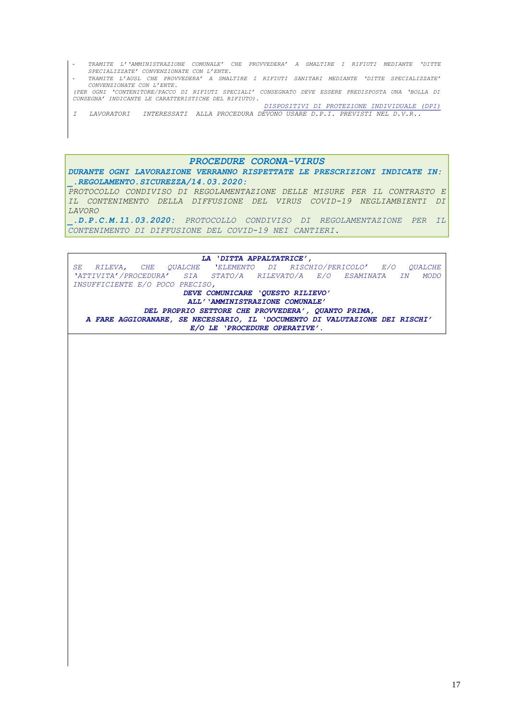- *TRAMITE L''AMMINISTRAZIONE COMUNALE' CHE PROVVEDERA' A SMALTIRE I RIFIUTI MEDIANTE 'DITTE SPECIALIZZATE' CONVENZIONATE CON L'ENTE.*
- *TRAMITE L'AUSL CHE PROVVEDERA' A SMALTIRE I RIFIUTI SANITARI MEDIANTE 'DITTE SPECIALIZZATE' CONVENZIONATE CON L'ENTE. (PER OGNI 'CONTENITORE/PACCO DI RIFIUTI SPECIALI' CONSEGNATO DEVE ESSERE PREDISPOSTA UNA 'BOLLA DI*

*CONSEGNA' INDICANTE LE CARATTERISTICHE DEL RIFIUTO). DISPOSITIVI DI PROTEZIONE INDIVIDUALE (DPI)*

*I LAVORATORI INTERESSATI ALLA PROCEDURA DEVONO USARE D.P.I. PREVISTI NEL D.V.R..*

*PROCEDURE CORONA-VIRUS*

*DURANTE OGNI LAVORAZIONE VERRANNO RISPETTATE LE PRESCRIZIONI INDICATE IN: \_.REGOLAMENTO.SICUREZZA/14.03.2020:*

*PROTOCOLLO CONDIVISO DI REGOLAMENTAZIONE DELLE MISURE PER IL CONTRASTO E IL CONTENIMENTO DELLA DIFFUSIONE DEL VIRUS COVID-19 NEGLIAMBIENTI DI LAVORO*

*\_.D.P.C.M.11.03.2020: PROTOCOLLO CONDIVISO DI REGOLAMENTAZIONE PER IL CONTENIMENTO DI DIFFUSIONE DEL COVID-19 NEI CANTIERI.*

*LA 'DITTA APPALTATRICE', SE RILEVA, CHE QUALCHE 'ELEMENTO DI RISCHIO/PERICOLO' E/O QUALCHE 'ATTIVITA'/PROCEDURA' SIA STATO/A RILEVATO/A E/O ESAMINATA IN MODO INSUFFICIENTE E/O POCO PRECISO, DEVE COMUNICARE 'QUESTO RILIEVO' ALL''AMMINISTRAZIONE COMUNALE' DEL PROPRIO SETTORE CHE PROVVEDERA', QUANTO PRIMA, A FARE AGGIORANARE, SE NECESSARIO, IL 'DOCUMENTO DI VALUTAZIONE DEI RISCHI' E/O LE 'PROCEDURE OPERATIVE'.*